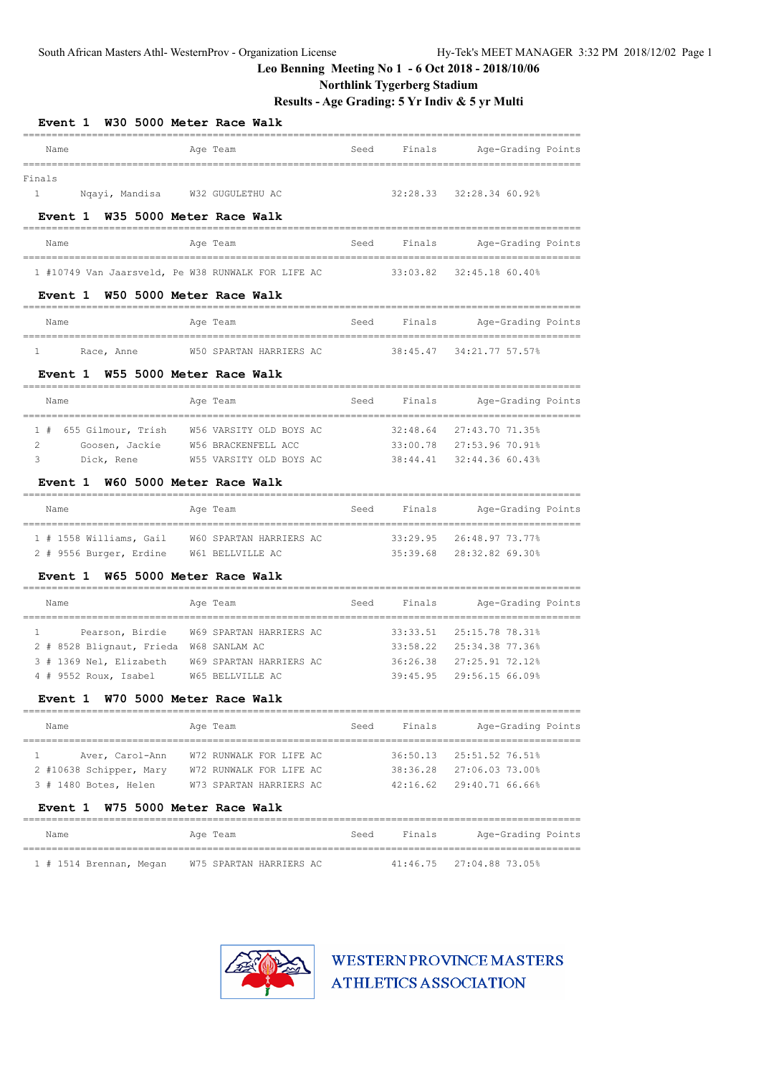### **Northlink Tygerberg Stadium**

**Results - Age Grading: 5 Yr Indiv & 5 yr Multi**

| <b>Event 1</b>                                     | W30 5000 Meter Race Walk |                |                    |
|----------------------------------------------------|--------------------------|----------------|--------------------|
| Name                                               | Age Team                 | Seed<br>Finals | Age-Grading Points |
| Finals                                             |                          |                |                    |
| $1 \quad \Box$<br>Nqayi, Mandisa                   | W32 GUGULETHU AC         | 32:28.33       | 32:28.34 60.92%    |
| Event 1                                            | W35 5000 Meter Race Walk |                |                    |
| Name                                               | Age Team                 | Seed<br>Finals | Age-Grading Points |
| 1 #10749 Van Jaarsveld, Pe W38 RUNWALK FOR LIFE AC |                          | 33:03.82       | 32:45.18 60.40%    |
| Event 1                                            | W50 5000 Meter Race Walk |                |                    |
|                                                    |                          |                |                    |
| Name                                               | Age Team                 | Seed<br>Finals | Age-Grading Points |
| $\mathbf{1}$<br>Race, Anne                         | W50 SPARTAN HARRIERS AC  | 38:45.47       | 34:21.77 57.57%    |
| <b>Event 1</b>                                     | W55 5000 Meter Race Walk |                |                    |
| Name                                               | Age Team                 | Finals<br>Seed | Age-Grading Points |
| 1#<br>655 Gilmour, Trish                           | W56 VARSITY OLD BOYS AC  | 32:48.64       | 27:43.70 71.35%    |
| $\overline{2}$<br>Goosen, Jackie                   | W56 BRACKENFELL ACC      | 33:00.78       | 27:53.96 70.91%    |
| 3<br>Dick, Rene                                    | W55 VARSITY OLD BOYS AC  | 38:44.41       | 32:44.36 60.43%    |
| <b>Event 1</b>                                     | W60 5000 Meter Race Walk |                |                    |
| Name                                               | Age Team                 | Finals<br>Seed | Age-Grading Points |
| 1 # 1558 Williams, Gail                            | W60 SPARTAN HARRIERS AC  | 33:29.95       | 26:48.97 73.77%    |
| 2 # 9556 Burger, Erdine                            | W61 BELLVILLE AC         | 35:39.68       | 28:32.82 69.30%    |
| <b>Event 1</b>                                     | W65 5000 Meter Race Walk |                |                    |
| Name                                               | Age Team                 | Finals<br>Seed | Age-Grading Points |
| Pearson, Birdie<br>$\mathbf{1}$                    | W69 SPARTAN HARRIERS AC  | 33:33.51       | 25:15.78 78.31%    |
| 2 # 8528 Blignaut, Frieda W68 SANLAM AC            |                          | 33:58.22       | 25:34.38 77.36%    |
| 3 # 1369 Nel, Elizabeth                            | W69 SPARTAN HARRIERS AC  | 36:26.38       | 27:25.91 72.12%    |
| 4 # 9552 Roux, Isabel                              | W65 BELLVILLE AC         | 39:45.95       | 29:56.15 66.09%    |
| <b>Event 1</b>                                     | W70 5000 Meter Race Walk |                |                    |
| Name                                               | Age Team                 | Seed<br>Finals | Age-Grading Points |
| Aver, Carol-Ann<br>1                               | W72 RUNWALK FOR LIFE AC  | 36:50.13       | 25:51.52 76.51%    |
| 2 #10638 Schipper, Mary                            | W72 RUNWALK FOR LIFE AC  | 38:36.28       | 27:06.03 73.00%    |
| 3 # 1480 Botes, Helen                              | W73 SPARTAN HARRIERS AC  | 42:16.62       | 29:40.71 66.66%    |
| <b>Event 1</b>                                     | W75 5000 Meter Race Walk |                |                    |
| Name                                               |                          |                | Age-Grading Points |
|                                                    | Age Team                 | Seed<br>Finals |                    |

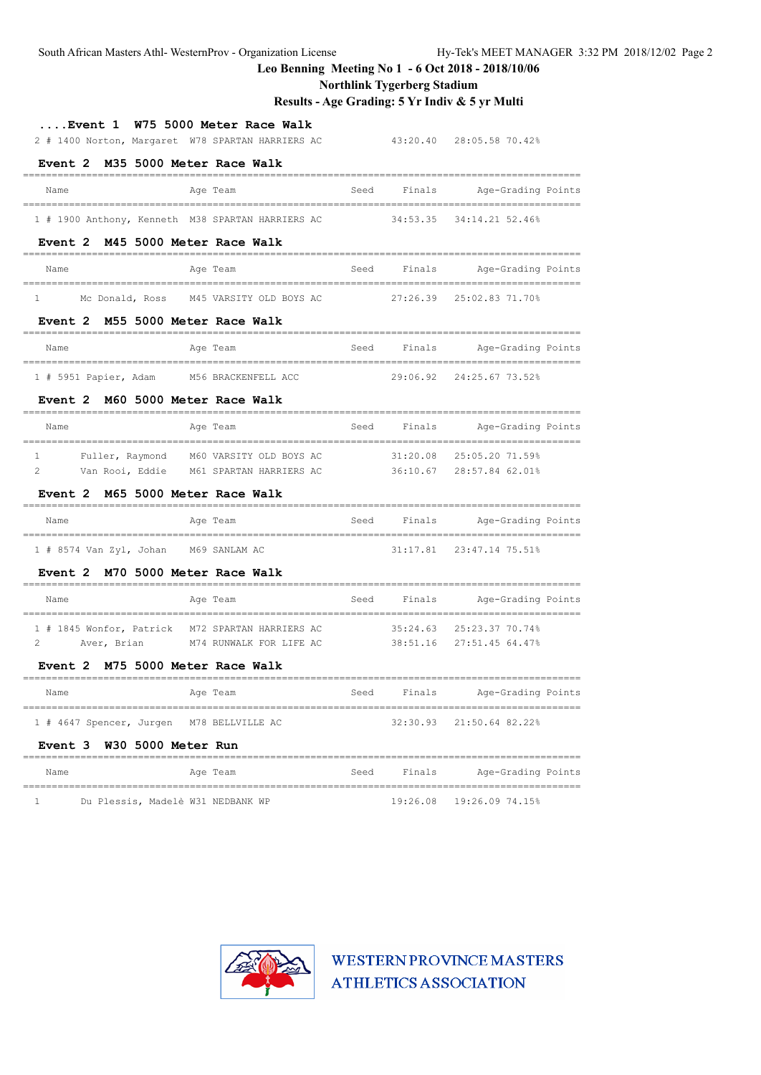### **Northlink Tygerberg Stadium**

# **Results - Age Grading: 5 Yr Indiv & 5 yr Multi**

| Event 1<br>W75 5000 Meter Race Walk<br>2 # 1400 Norton, Margaret W78 SPARTAN HARRIERS AC |      |          | 43:20.40 28:05.58 70.42% |
|------------------------------------------------------------------------------------------|------|----------|--------------------------|
| M35 5000 Meter Race Walk<br>Event 2                                                      |      |          |                          |
| Age Team<br>Name                                                                         | Seed | Finals   | Age-Grading Points       |
| 1 # 1900 Anthony, Kenneth M38 SPARTAN HARRIERS AC                                        |      | 34:53.35 | 34:14.21 52.46%          |
| M45 5000 Meter Race Walk<br>Event 2                                                      |      |          |                          |
| Age Team<br>Name                                                                         | Seed | Finals   | Age-Grading Points       |
| Mc Donald, Ross<br>M45 VARSITY OLD BOYS AC<br>$\mathbf{1}$                               |      | 27:26.39 | 25:02.83 71.70%          |
| M55 5000 Meter Race Walk<br><b>Event 2</b>                                               |      |          |                          |
| Age Team<br>Name                                                                         | Seed | Finals   | Age-Grading Points       |
| 1 # 5951 Papier, Adam<br>M56 BRACKENFELL ACC                                             |      | 29:06.92 | 24:25.67 73.52%          |
| M60 5000 Meter Race Walk<br>Event 2                                                      |      |          |                          |
| Name<br>Age Team                                                                         | Seed | Finals   | Age-Grading Points       |
| $\mathbf{1}$<br>Fuller, Raymond<br>M60 VARSITY OLD BOYS AC                               |      | 31:20.08 | 25:05.20 71.59%          |
| $\mathfrak{D}$<br>Van Rooi, Eddie<br>M61 SPARTAN HARRIERS AC                             |      | 36:10.67 | 28:57.84 62.01%          |
| M65 5000 Meter Race Walk<br><b>Event 2</b>                                               |      |          |                          |
| Name<br>Age Team                                                                         | Seed | Finals   | Age-Grading Points       |
| 1 # 8574 Van Zyl, Johan M69 SANLAM AC                                                    |      | 31:17.81 | 23:47.14 75.51%          |
| M70 5000 Meter Race Walk<br><b>Event 2</b>                                               |      |          |                          |
| Name<br>Age Team                                                                         | Seed | Finals   | Age-Grading Points       |
| 1 # 1845 Wonfor, Patrick<br>M72 SPARTAN HARRIERS AC                                      |      | 35:24.63 | 25:23.37 70.74%          |
| 2<br>Aver, Brian<br>M74 RUNWALK FOR LIFE AC                                              |      | 38:51.16 | 27:51.45 64.47%          |
| Event 2 M75 5000 Meter Race Walk                                                         |      |          |                          |
| Name<br>Age Team                                                                         | Seed | Finals   | Age-Grading Points       |
| 1 # 4647 Spencer, Jurgen<br>M78 BELLVILLE AC                                             |      | 32:30.93 | 21:50.64 82.22%          |
| W30 5000 Meter Run<br>Event 3                                                            |      |          |                          |
| Name<br>Age Team                                                                         | Seed | Finals   | Age-Grading Points       |
| Du Plessis, Madelè W31 NEDBANK WP<br>1                                                   |      | 19:26.08 | 19:26.09 74.15%          |

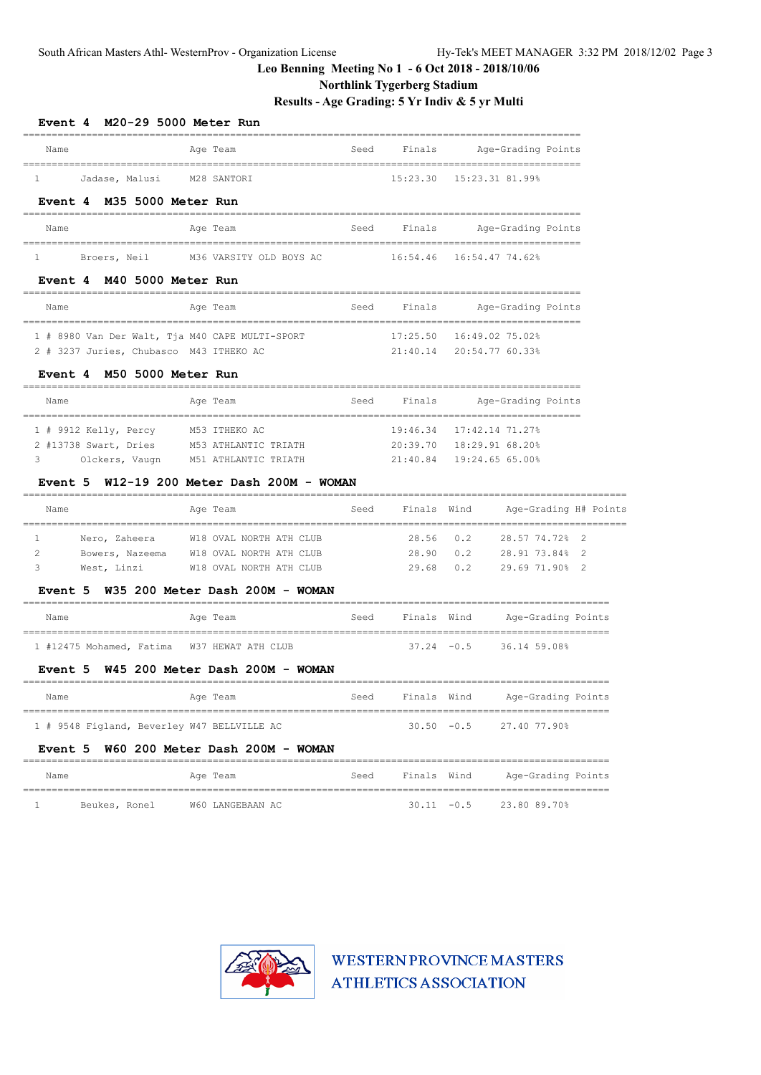### **Northlink Tygerberg Stadium**

**Results - Age Grading: 5 Yr Indiv & 5 yr Multi**

| Event 4 M20-29 5000 Meter Run                     |                                                                 |      |                            |               |                                        |  |
|---------------------------------------------------|-----------------------------------------------------------------|------|----------------------------|---------------|----------------------------------------|--|
| Name                                              | Age Team                                                        | Seed | Finals                     |               | Age-Grading Points                     |  |
| Jadase, Malusi     M28 SANTORI<br>$\mathbf{1}$    |                                                                 |      |                            |               | 15:23.30  15:23.31 81.99%              |  |
| Event 4 M35 5000 Meter Run                        | -------------------------------                                 |      |                            |               | ______________________________         |  |
| Name                                              | Age Team                                                        |      |                            |               | Seed Finals Age-Grading Points         |  |
|                                                   | 1 Broers, Neil M36 VARSITY OLD BOYS AC 16:54.46 16:54.47 74.62% |      |                            |               |                                        |  |
| Event 4 M40 5000 Meter Run<br>$=$ $=$ $=$ $=$ $=$ |                                                                 |      |                            |               |                                        |  |
| Name                                              | Age Team                                                        |      |                            |               | Seed Finals Age-Grading Points         |  |
| 1 # 8980 Van Der Walt, Tja M40 CAPE MULTI-SPORT   |                                                                 |      | 17:25.50  16:49.02  75.02% |               |                                        |  |
| 2 # 3237 Juries, Chubasco M43 ITHEKO AC           |                                                                 |      |                            |               | 21:40.14 20:54.77 60.33%               |  |
| Event 4 M50 5000 Meter Run                        |                                                                 |      |                            |               |                                        |  |
| Name                                              | Age Team                                                        |      |                            |               | Seed Finals Age-Grading Points         |  |
| 1 # 9912 Kelly, Percy M53 ITHEKO AC               |                                                                 |      |                            |               | 19:46.34 17:42.14 71.27%               |  |
| 2 #13738 Swart, Dries                             | M53 ATHLANTIC TRIATH                                            |      | 21:40.84 19:24.65 65.00%   |               | 20:39.70 18:29.91 68.20%               |  |
| Name                                              | Event 5 $W12-19$ 200 Meter Dash 200M - WOMAN<br>Age Team        |      |                            |               | Seed Finals Wind Age-Grading H# Points |  |
| 1                                                 | Nero, Zaheera W18 OVAL NORTH ATH CLUB                           |      |                            |               | 28.56 0.2 28.57 74.72% 2               |  |
| 2                                                 | Bowers, Nazeema W18 OVAL NORTH ATH CLUB                         |      |                            |               | 28.90  0.2  28.91  73.84%  2           |  |
| 3<br>West, Linzi                                  | W18 OVAL NORTH ATH CLUB                                         |      | 29.68                      |               | $0.2$ 29.69 71.90% 2                   |  |
|                                                   | Event 5 W35 200 Meter Dash 200M - WOMAN                         |      |                            |               |                                        |  |
| Name                                              | Age Team                                                        |      | Seed Finals Wind           |               | Age-Grading Points                     |  |
| 1 #12475 Mohamed, Fatima W37 HEWAT ATH CLUB       |                                                                 |      |                            |               | $37.24 -0.5$ 36.14 59.08%              |  |
|                                                   | Event 5 W45 200 Meter Dash 200M - WOMAN                         |      |                            |               |                                        |  |
| Name                                              | Age Team                                                        | Seed | Finals Wind                |               | Age-Grading Points                     |  |
| 1 # 9548 Figland, Beverley W47 BELLVILLE AC       |                                                                 |      |                            | $30.50 - 0.5$ | 27.40 77.90%                           |  |
| Event 5                                           | W60 200 Meter Dash 200M - WOMAN                                 |      |                            |               |                                        |  |
| Name                                              | Age Team                                                        | Seed | Finals Wind                |               | Age-Grading Points                     |  |
| Beukes, Ronel<br>1                                | W60 LANGEBAAN AC                                                |      | $30.11 - 0.5$              |               | 23.80 89.70%                           |  |

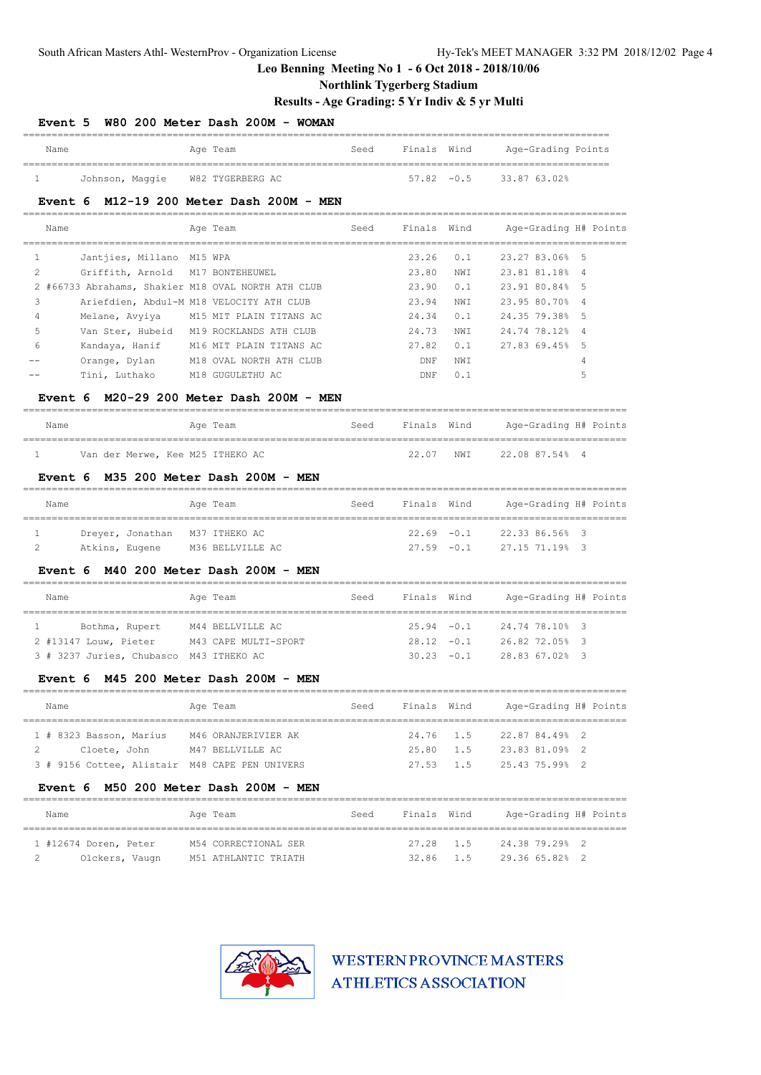### **Northlink Tygerberg Stadium**

# **Results - Age Grading: 5 Yr Indiv & 5 yr Multi**

| <b>Event 5</b>                                 | W80 200 Meter Dash 200M - WOMAN                    |      |                |               |                       |                |  |
|------------------------------------------------|----------------------------------------------------|------|----------------|---------------|-----------------------|----------------|--|
| Name                                           | Age Team                                           | Seed | Finals Wind    |               | Age-Grading Points    |                |  |
| 1                                              | Johnson, Maggie W82 TYGERBERG AC                   |      |                | $57.82 - 0.5$ | 33.87 63.02%          |                |  |
| Event 6                                        | M12-19 200 Meter Dash 200M - MEN                   |      |                |               |                       |                |  |
| Name                                           | Age Team                                           | Seed |                | Finals Wind   | Age-Grading H# Points |                |  |
| $\mathbf{1}$<br>Jantjies, Millano M15 WPA      |                                                    |      | 23.26          | 0.1           | 23.27 83.06% 5        |                |  |
| 2<br>Griffith, Arnold                          | M17 BONTEHEUWEL                                    |      | 23.80          | NWI           | 23.81 81.18%          | $\overline{4}$ |  |
|                                                | 2 #66733 Abrahams, Shakier M18 OVAL NORTH ATH CLUB |      | 23.90          | 0.1           | 23.91 80.84%          | 5              |  |
| 3                                              | Ariefdien, Abdul-M M18 VELOCITY ATH CLUB           |      | 23.94          | NWI           | 23.95 80.70%          | 4              |  |
| 4<br>Melane, Avyiya                            | M15 MIT PLAIN TITANS AC                            |      | 24.34          | 0.1           | 24.35 79.38%          | 5              |  |
| 5                                              | Van Ster, Hubeid M19 ROCKLANDS ATH CLUB            |      | 24.73          | NWI           | 24.74 78.12%          | $\overline{4}$ |  |
| 6<br>Kandaya, Hanif                            | M16 MIT PLAIN TITANS AC                            |      | 27.82          | 0.1           | 27.83 69.45%          | 5              |  |
| Orange, Dylan                                  | M18 OVAL NORTH ATH CLUB                            |      | DNF            | NWI           |                       | 4              |  |
| Tini, Luthako                                  | M18 GUGULETHU AC                                   |      | $\texttt{DNF}$ | 0.1           |                       | 5              |  |
| <b>Event 6</b>                                 | M20-29 200 Meter Dash 200M - MEN                   |      |                |               |                       |                |  |
| Name                                           | Age Team                                           | Seed | Finals Wind    |               | Age-Grading H# Points |                |  |
| Van der Merwe, Kee M25 ITHEKO AC<br>1          |                                                    |      | 22.07          | NWI           | 22.08 87.54% 4        |                |  |
| <b>Event 6</b>                                 | M35 200 Meter Dash 200M - MEN                      |      |                |               |                       |                |  |
| Name                                           | Age Team                                           | Seed |                | Finals Wind   | Age-Grading H# Points |                |  |
| $\mathbf{1}$<br>Dreyer, Jonathan M37 ITHEKO AC |                                                    |      |                | $22.69 - 0.1$ | 22.33 86.56% 3        |                |  |
| 2                                              | Atkins, Eugene M36 BELLVILLE AC                    |      |                | $27.59 - 0.1$ | 27.15 71.19% 3        |                |  |
| <b>Event 6</b>                                 | M40 200 Meter Dash 200M - MEN                      |      |                |               |                       |                |  |
| Name                                           | Age Team                                           | Seed |                | Finals Wind   | Age-Grading H# Points |                |  |
| $\mathbf{1}$<br>Bothma, Rupert                 | M44 BELLVILLE AC                                   |      | $25.94 - 0.1$  |               | 24.74 78.10% 3        |                |  |
| 2 #13147 Louw, Pieter                          | M43 CAPE MULTI-SPORT                               |      |                | $28.12 - 0.1$ | 26.82 72.05% 3        |                |  |
| 3 # 3237 Juries, Chubasco M43 ITHEKO AC        |                                                    |      |                | $30.23 - 0.1$ | 28.83 67.02% 3        |                |  |
| Event 6                                        | M45 200 Meter Dash 200M - MEN                      |      |                |               |                       |                |  |
| Name                                           | Age Team                                           | Seed | Finals Wind    |               | Age-Grading H# Points |                |  |
| 1 # 8323 Basson, Marius                        | M46 ORANJERIVIER AK                                |      | 24.76          | 1.5           | 22.87 84.49% 2        |                |  |
| 2<br>Cloete, John                              | M47 BELLVILLE AC                                   |      | 25.80          | 1.5           | 23.83 81.09% 2        |                |  |
| 3 # 9156 Cottee, Alistair M48 CAPE PEN UNIVERS |                                                    |      | 27.53          | 1.5           | 25.43 75.99% 2        |                |  |
| Event 6                                        | M50 200 Meter Dash 200M - MEN                      |      |                |               |                       |                |  |
| Name                                           | Age Team                                           | Seed | Finals Wind    |               | Age-Grading H# Points |                |  |
| 1 #12674 Doren, Peter                          | M54 CORRECTIONAL SER                               |      | 27.28          | 1.5           | 24.38 79.29% 2        |                |  |
| 2<br>Olckers, Vaugn                            | M51 ATHLANTIC TRIATH                               |      | 32.86          | 1.5           | 29.36 65.82%          | 2              |  |
|                                                |                                                    |      |                |               |                       |                |  |

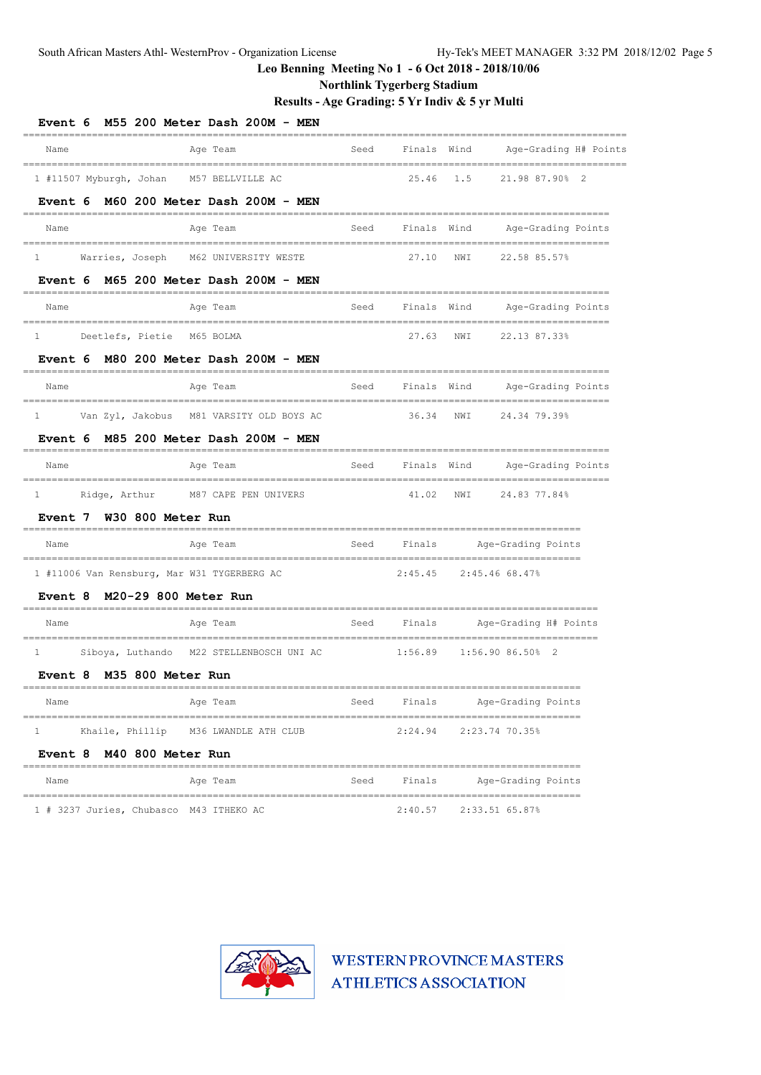### **Northlink Tygerberg Stadium**

**Results - Age Grading: 5 Yr Indiv & 5 yr Multi**

| Event 6 M55 200 Meter Dash 200M - MEN                                                         | ============== |             |     |                                                    |  |
|-----------------------------------------------------------------------------------------------|----------------|-------------|-----|----------------------------------------------------|--|
| Name<br>Age Team<br>________________________________<br>------------------------------------- | Seed           | Finals Wind |     | Age-Grading H# Points                              |  |
| 1 #11507 Myburgh, Johan M57 BELLVILLE AC                                                      |                | 25.46       | 1.5 | 21.98 87.90% 2                                     |  |
| M60 200 Meter Dash 200M - MEN<br>Event 6                                                      |                |             |     |                                                    |  |
| Name<br>Age Team                                                                              | Seed           | Finals Wind |     | Age-Grading Points                                 |  |
| Warries, Joseph M62 UNIVERSITY WESTE<br>$\mathbf{1}$                                          |                | 27.10       | NWI | 22.58 85.57%                                       |  |
| M65 200 Meter Dash 200M - MEN<br>Event 6<br>======                                            |                |             |     |                                                    |  |
| Name<br>Age Team                                                                              | Seed           | Finals Wind |     | Age-Grading Points                                 |  |
| Deetlefs, Pietie M65 BOLMA<br>1                                                               |                | 27.63       | NWI | 22.13 87.33%                                       |  |
| Event 6 M80 200 Meter Dash 200M - MEN                                                         |                |             |     |                                                    |  |
| Age Team<br>Name                                                                              | Seed           | Finals Wind |     | Age-Grading Points                                 |  |
| Van Zyl, Jakobus M81 VARSITY OLD BOYS AC<br>1                                                 |                | 36.34       | NWI | 24.34 79.39%                                       |  |
| M85 200 Meter Dash 200M - MEN<br><b>Event 6</b>                                               |                |             |     |                                                    |  |
| Age Team<br>Name                                                                              | Seed           | Finals Wind |     | Age-Grading Points                                 |  |
| Ridge, Arthur<br>M87 CAPE PEN UNIVERS<br>$\mathbf{1}$                                         |                | 41.02       | NWI | 24.83 77.84%                                       |  |
| Event 7 W30 800 Meter Run                                                                     |                |             |     | ===========================                        |  |
| Name<br>Age Team                                                                              | Seed           | Finals      |     | Age-Grading Points<br>--------------------         |  |
| 1 #11006 Van Rensburg, Mar W31 TYGERBERG AC                                                   |                | 2:45.45     |     | 2:45.46 68.47%                                     |  |
| Event 8 M20-29 800 Meter Run                                                                  |                |             |     |                                                    |  |
| Name<br>Age Team                                                                              | Seed           | Finals      |     | Age-Grading H# Points                              |  |
| $\mathbf{1}$<br>Siboya, Luthando<br>M22 STELLENBOSCH UNI AC                                   |                | 1:56.89     |     | ================================<br>1:56.9086.5082 |  |
| Event 8 M35 800 Meter Run                                                                     |                |             |     |                                                    |  |
| Age Team<br>Name                                                                              | Seed           | Finals      |     | Age-Grading Points                                 |  |
| _____________________<br>Khaile, Phillip<br>M36 LWANDLE ATH CLUB<br>1                         |                | 2:24.94     |     | 2:23.74 70.35%                                     |  |
| M40 800 Meter Run<br>Event 8                                                                  |                |             |     |                                                    |  |
| Name<br>Age Team                                                                              | Seed           | Finals      |     | Age-Grading Points                                 |  |
| 1 # 3237 Juries, Chubasco M43 ITHEKO AC                                                       |                | 2:40.57     |     | 2:33.51 65.87%                                     |  |

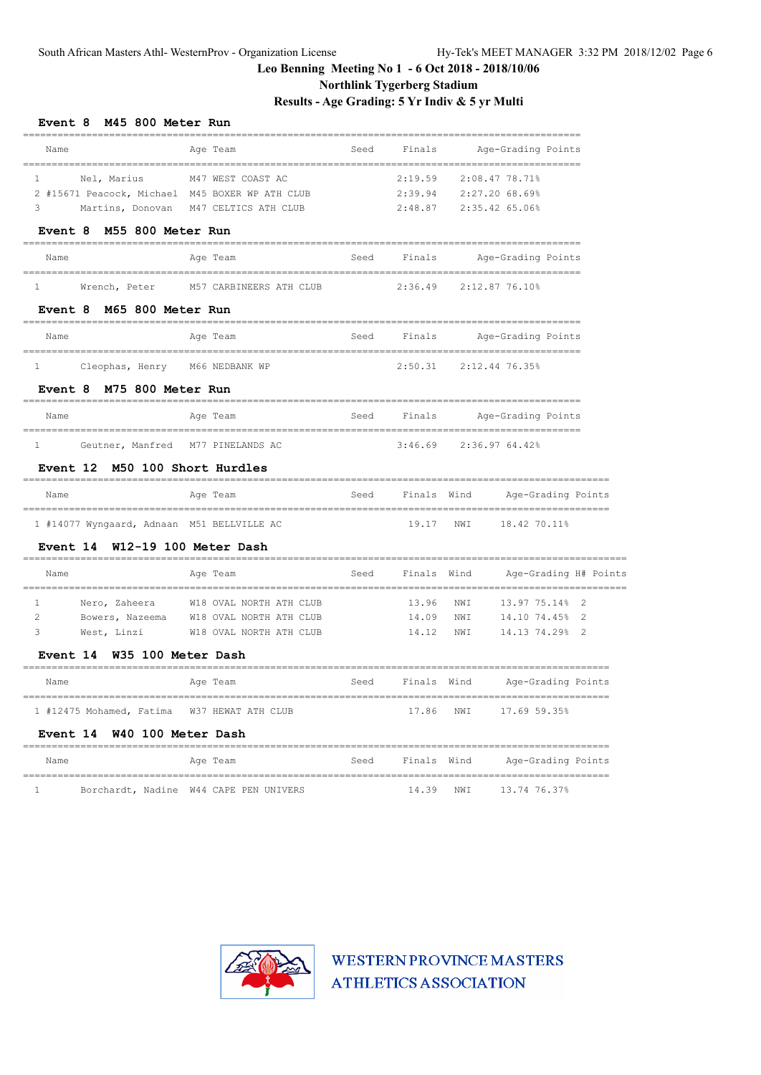**Northlink Tygerberg Stadium**

**Results - Age Grading: 5 Yr Indiv & 5 yr Multi**

| <b>Event 8</b><br>M45 800 Meter Run               |                                        |      |             |             |                           |  |
|---------------------------------------------------|----------------------------------------|------|-------------|-------------|---------------------------|--|
| Name                                              | Age Team                               | Seed | Finals      |             | Age-Grading Points        |  |
| 1<br>Nel, Marius                                  | M47 WEST COAST AC                      |      | 2:19.59     |             | 2:08.47 78.71%            |  |
| 2 #15671 Peacock, Michael M45 BOXER WP ATH CLUB   |                                        |      | 2:39.94     |             | 2:27.20 68.69%            |  |
| 3<br>Martins, Donovan                             | M47 CELTICS ATH CLUB                   |      | 2:48.87     |             | 2:35.42 65.06%            |  |
| Event 8 M55 800 Meter Run                         |                                        |      |             |             |                           |  |
| Name                                              | Age Team                               | Seed | Finals      |             | Age-Grading Points        |  |
| 1<br>Wrench, Peter                                | M57 CARBINEERS ATH CLUB                |      | 2:36.49     |             | 2:12.87 76.10%            |  |
| M65 800 Meter Run<br>Event 8                      |                                        |      |             |             |                           |  |
| Name                                              | Age Team                               | Seed | Finals      |             | Age-Grading Points        |  |
| Cleophas, Henry M66 NEDBANK WP<br>$\mathbf{1}$    |                                        |      | 2:50.31     |             | 2:12.44 76.35%            |  |
| M75 800 Meter Run<br>Event 8<br>=======           |                                        |      |             |             |                           |  |
| Name<br>======================================    | Age Team                               | Seed | Finals      |             | Age-Grading Points        |  |
| Geutner, Manfred M77 PINELANDS AC<br>$\mathbf{1}$ |                                        |      |             |             | $3:46.69$ $2:36.9764.42%$ |  |
| Event 12 M50 100 Short Hurdles<br>------          |                                        |      |             |             |                           |  |
| Name<br>________________________                  | Age Team                               | Seed | Finals Wind |             | Age-Grading Points        |  |
| 1 #14077 Wyngaard, Adnaan M51 BELLVILLE AC        |                                        |      | 19.17       | NWI         | 18.42 70.11%              |  |
| Event 14 W12-19 100 Meter Dash                    |                                        |      |             |             |                           |  |
| Name                                              | Age Team<br>--------------------       | Seed | Finals Wind |             | Age-Grading H# Points     |  |
| 1<br>Nero, Zaheera                                | W18 OVAL NORTH ATH CLUB                |      | 13.96       | NWI         | 13.97 75.14% 2            |  |
| 2<br>Bowers, Nazeema                              | W18 OVAL NORTH ATH CLUB                |      | 14.09       | NWI         | 14.10 74.45%<br>2         |  |
| 3<br>West, Linzi                                  | W18 OVAL NORTH ATH CLUB                |      | 14.12       | NWI         | 14.13 74.29% 2            |  |
| W35 100 Meter Dash<br><b>Event 14</b>             |                                        |      |             |             |                           |  |
| Name                                              | Age Team                               | Seed | Finals Wind |             | Age-Grading Points        |  |
| 1 #12475 Mohamed, Fatima W37 HEWAT ATH CLUB       |                                        |      | 17.86       | NWI         | 17.69 59.35%              |  |
| W40 100 Meter Dash<br>Event 14                    |                                        |      |             |             |                           |  |
| Name                                              | Age Team                               | Seed |             | Finals Wind | Age-Grading Points        |  |
| 1                                                 | Borchardt, Nadine W44 CAPE PEN UNIVERS |      | 14.39       | NWI         | 13.74 76.37%              |  |

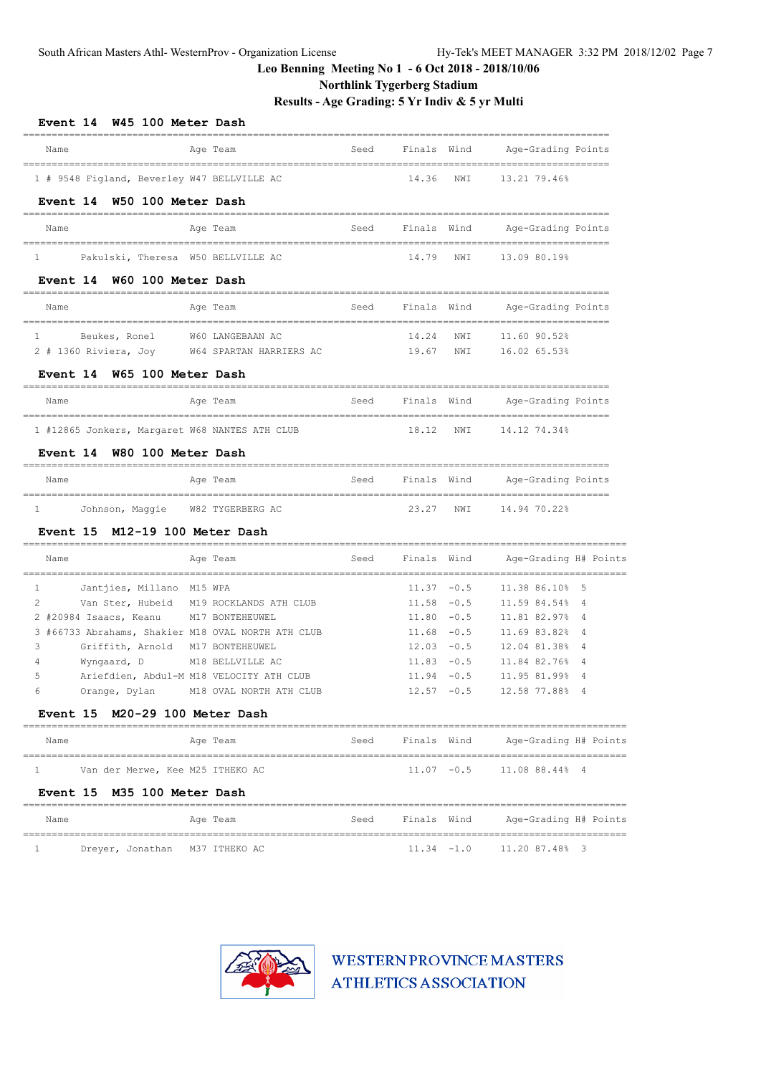### **Northlink Tygerberg Stadium**

**Results - Age Grading: 5 Yr Indiv & 5 yr Multi**

| W45 100 Meter Dash<br><b>Event 14</b>                    |                                       |      |                                |     |                                                      |                     |  |
|----------------------------------------------------------|---------------------------------------|------|--------------------------------|-----|------------------------------------------------------|---------------------|--|
| Name                                                     | Age Team                              | Seed | Finals Wind                    |     | Age-Grading Points                                   |                     |  |
| 1 # 9548 Figland, Beverley W47 BELLVILLE AC              |                                       |      | 14.36                          | NWI | 13.21 79.46%                                         |                     |  |
| W50 100 Meter Dash<br>Event 14                           |                                       |      |                                |     |                                                      |                     |  |
| Name                                                     | Age Team                              | Seed | Finals Wind                    |     | Age-Grading Points                                   |                     |  |
| $\mathbf{1}$<br>Pakulski, Theresa W50 BELLVILLE AC       |                                       |      | 14.79                          | NWI | 13.09 80.19%                                         |                     |  |
| W60 100 Meter Dash<br>Event 14                           |                                       |      |                                |     |                                                      |                     |  |
| Name                                                     | Age Team                              | Seed | Finals Wind                    |     | Age-Grading Points                                   |                     |  |
| Beukes, Ronel<br>$\mathbf{1}$                            | W60 LANGEBAAN AC                      |      | 14.24                          | NWI | 11.60 90.52%                                         |                     |  |
| 2 # 1360 Riviera, Joy                                    | W64 SPARTAN HARRIERS AC               |      | 19.67                          | NWI | 16.02 65.53%                                         |                     |  |
| W65 100 Meter Dash<br>Event 14                           |                                       |      |                                |     |                                                      |                     |  |
| Name                                                     | Age Team                              | Seed | Finals Wind                    |     | Age-Grading Points                                   |                     |  |
| 1 #12865 Jonkers, Margaret W68 NANTES ATH CLUB           |                                       |      | 18.12                          | NWI | 14.12 74.34%                                         |                     |  |
| <b>Event 14</b><br>W80 100 Meter Dash                    |                                       |      |                                |     |                                                      |                     |  |
| Name                                                     | Age Team                              | Seed | Finals Wind                    |     | Age-Grading Points                                   |                     |  |
| Johnson, Maggie<br>$\mathbf{1}$                          | W82 TYGERBERG AC                      |      | 23.27                          | NWI | 14.94 70.22%                                         |                     |  |
| M12-19 100 Meter Dash<br><b>Event 15</b>                 |                                       |      |                                |     |                                                      |                     |  |
| Name                                                     | Age Team                              | Seed | Finals Wind                    |     | Age-Grading H# Points                                |                     |  |
| Jantjies, Millano M15 WPA<br>1                           |                                       |      | $11.37 - 0.5$                  |     | 11.38 86.10%                                         | 5                   |  |
| 2<br>Van Ster, Hubeid                                    | M19 ROCKLANDS ATH CLUB                |      | $11.58 - 0.5$                  |     | 11.59 84.54%                                         | 4                   |  |
| 2 #20984 Isaacs, Keanu                                   | M17 BONTEHEUWEL                       |      | $11.80 - 0.5$                  |     | 11.81 82.97%                                         | 4                   |  |
| 3 #66733 Abrahams, Shakier M18 OVAL NORTH ATH CLUB<br>3  | M17 BONTEHEUWEL                       |      | $11.68 - 0.5$<br>$12.03 - 0.5$ |     | 11.69 83.82%<br>12.04 81.38%                         | 4<br>$\overline{4}$ |  |
| Griffith, Arnold<br>Wyngaard, D<br>4                     | M18 BELLVILLE AC                      |      | $11.83 - 0.5$                  |     | 11.84 82.76%                                         | 4                   |  |
| 5<br>Ariefdien, Abdul-M M18 VELOCITY ATH CLUB            |                                       |      | $11.94 - 0.5$                  |     | 11.95 81.99%                                         | 4                   |  |
| 6                                                        | Orange, Dylan M18 OVAL NORTH ATH CLUB |      |                                |     | 12.57 -0.5 12.58 77.88% 4                            |                     |  |
| Event 15 M20-29 100 Meter Dash                           |                                       |      |                                |     |                                                      |                     |  |
| ======<br>Name                                           | Age Team                              |      |                                |     | Seed      Finals   Wind        Age-Grading H# Points |                     |  |
| Van der Merwe, Kee M25 ITHEKO AC<br>$1 \quad$            |                                       |      |                                |     | $11.07 -0.5$ 11.08 88.44% 4                          |                     |  |
| Event 15 M35 100 Meter Dash<br>=====-                    |                                       |      |                                |     |                                                      |                     |  |
| Name                                                     | Age Team                              |      |                                |     | Seed Finals Wind Age-Grading H# Points               |                     |  |
| Dreyer, Jonathan M37 ITHEKO AC<br>$1 \quad \blacksquare$ |                                       |      |                                |     | $11.34 -1.0$ $11.20 87.48$ 3                         |                     |  |

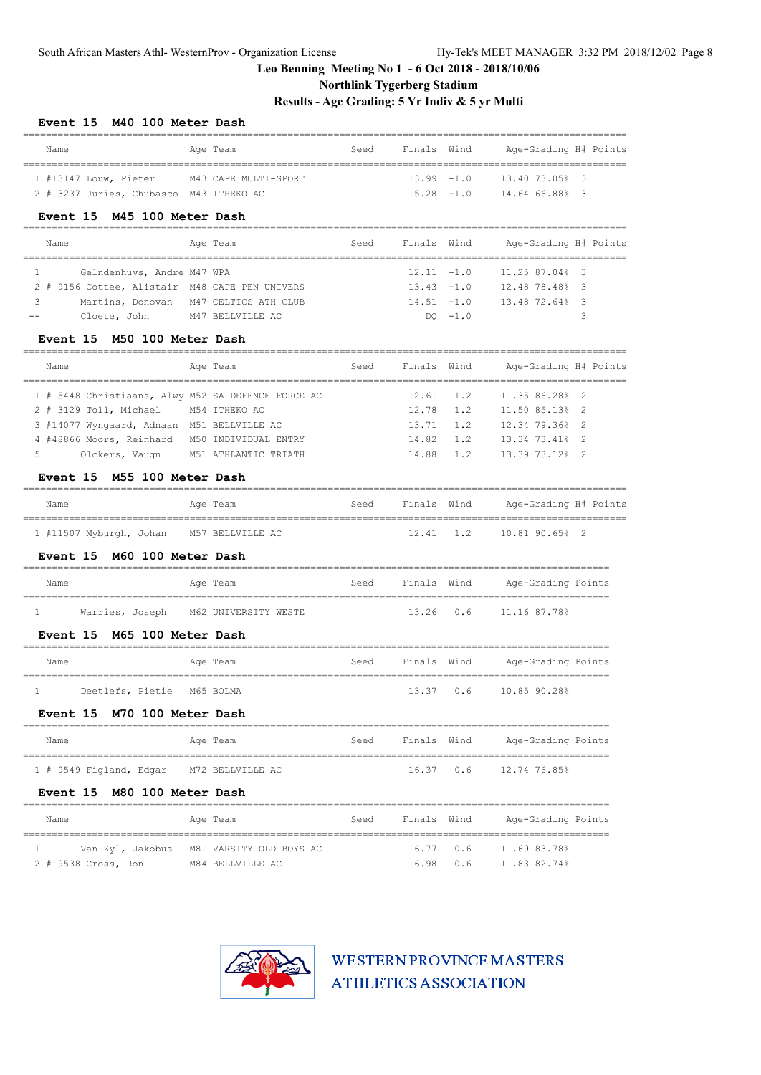# **Northlink Tygerberg Stadium**

# **Results - Age Grading: 5 Yr Indiv & 5 yr Multi**

| Event 15 M40 100 Meter Dash                                            |                                                                                |      |               |               |                                  |   |
|------------------------------------------------------------------------|--------------------------------------------------------------------------------|------|---------------|---------------|----------------------------------|---|
| Name                                                                   | Age Team                                                                       | Seed | Finals Wind   |               | Age-Grading H# Points            |   |
| 1 #13147 Louw, Pieter                                                  | M43 CAPE MULTI-SPORT                                                           |      | $13.99 - 1.0$ |               | 13.40 73.05% 3                   |   |
| 2 # 3237 Juries, Chubasco M43 ITHEKO AC                                |                                                                                |      | $15.28 - 1.0$ |               | 14.64 66.88% 3                   |   |
| Event 15 M45 100 Meter Dash                                            |                                                                                |      |               |               |                                  |   |
| Name                                                                   | Age Team                                                                       | Seed | Finals Wind   |               | Age-Grading H# Points            |   |
| ------------------------<br>Gelndenhuys, Andre M47 WPA<br>$\mathbf{1}$ |                                                                                |      | $12.11 - 1.0$ |               | 11.25 87.04% 3                   |   |
| 2 # 9156 Cottee, Alistair M48 CAPE PEN UNIVERS                         |                                                                                |      | $13.43 - 1.0$ |               | 12.48 78.48% 3                   |   |
| 3<br>Martins, Donovan                                                  | M47 CELTICS ATH CLUB                                                           |      |               | $14.51 - 1.0$ | 13.48 72.64% 3                   |   |
| Cloete, John                                                           | M47 BELLVILLE AC                                                               |      |               | $DO -1.0$     |                                  | 3 |
| Event 15 M50 100 Meter Dash                                            |                                                                                |      |               |               |                                  |   |
| Name                                                                   | Age Team                                                                       | Seed | Finals Wind   |               | Age-Grading H# Points            |   |
| 1 # 5448 Christiaans, Alwy M52 SA DEFENCE FORCE AC                     |                                                                                |      | 12.61         | 1.2           | 11.35 86.28% 2                   |   |
| 2 # 3129 Toll, Michael                                                 | M54 ITHEKO AC                                                                  |      | 12.78         | 1.2           | 11.50 85.13% 2                   |   |
| 3 #14077 Wyngaard, Adnaan M51 BELLVILLE AC                             |                                                                                |      | 13.71         | 1.2           | 12.34 79.36%                     | 2 |
| 4 #48866 Moors, Reinhard M50 INDIVIDUAL ENTRY                          |                                                                                |      | 14.82         | 1.2           | 13.34 73.41%                     | 2 |
| 5<br>Olckers, Vaugn                                                    | M51 ATHLANTIC TRIATH                                                           |      | 14.88         | 1.2           | 13.39 73.12% 2                   |   |
| Event 15 M55 100 Meter Dash                                            |                                                                                |      |               |               |                                  |   |
| Name                                                                   | Age Team                                                                       | Seed | Finals Wind   |               | Age-Grading H# Points            |   |
| ----------------------<br>1 #11507 Myburgh, Johan M57 BELLVILLE AC     |                                                                                |      | 12.41         | 1.2           | 10.81 90.65% 2                   |   |
| M60 100 Meter Dash<br><b>Event 15</b>                                  |                                                                                |      |               |               |                                  |   |
| Name                                                                   | Age Team                                                                       | Seed | Finals Wind   |               | Age-Grading Points               |   |
| ------<br>========================<br>$\mathbf{1}$                     | --------------------------------------<br>Warries, Joseph M62 UNIVERSITY WESTE |      | 13.26         |               | $0.6$ 11.16 87.78%               |   |
| Event 15 M65 100 Meter Dash                                            |                                                                                |      |               |               |                                  |   |
| Name                                                                   | Age Team                                                                       | Seed | Finals        | Wind          | Age-Grading Points               |   |
|                                                                        |                                                                                |      |               |               |                                  |   |
| 1<br>Deetlefs, Pietie                                                  | M65 BOLMA                                                                      |      | 13.37 0.6     |               | 10.85 90.28%                     |   |
| Event 15 M70 100 Meter Dash                                            |                                                                                |      |               |               |                                  |   |
| Name                                                                   | Age Team                                                                       | Seed |               |               | Finals Wind Age-Grading Points   |   |
| 1 # 9549 Figland, Edgar M72 BELLVILLE AC                               |                                                                                |      |               | 16.37 0.6     | 12.74 76.85%                     |   |
| M80 100 Meter Dash<br>Event 15                                         |                                                                                |      |               |               |                                  |   |
| Name                                                                   | Age Team                                                                       | Seed |               |               | Finals Wind - Age-Grading Points |   |
| ==========================<br>======<br>$\mathbf{1}$                   | Van Zyl, Jakobus M81 VARSITY OLD BOYS AC                                       |      | 16.77         | 0.6           | 11.69 83.78%                     |   |
| 2 # 9538 Cross, Ron                                                    | M84 BELLVILLE AC                                                               |      | 16.98         | 0.6           | 11.83 82.74%                     |   |

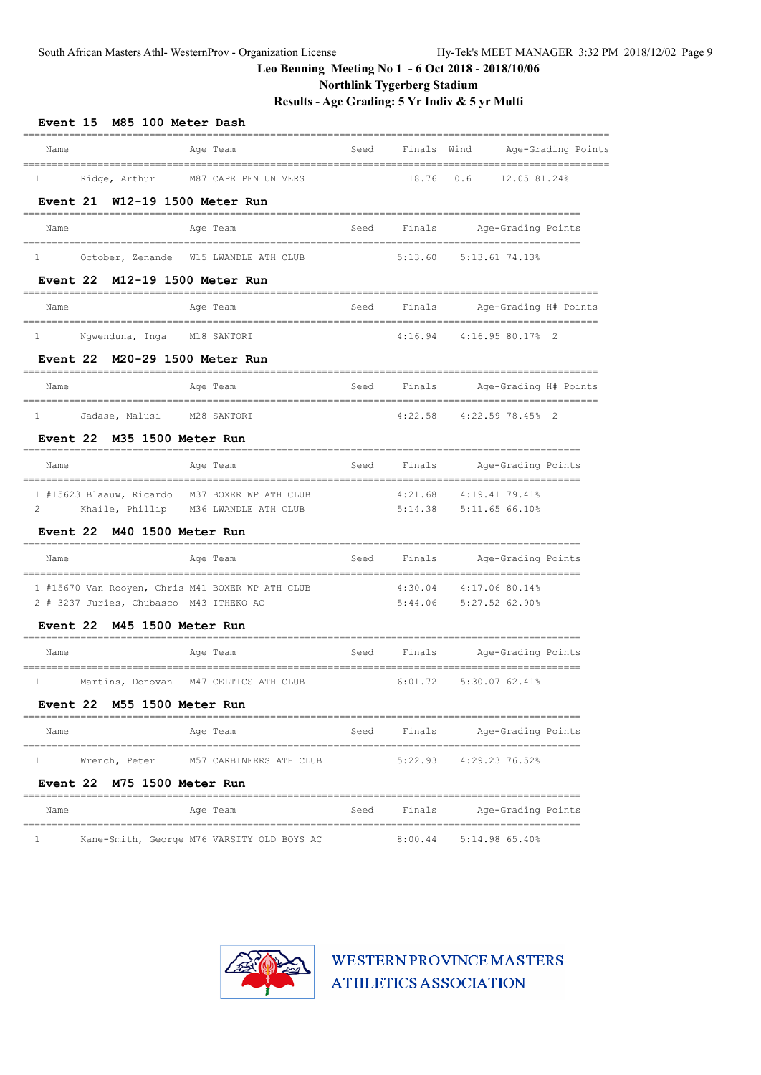**Northlink Tygerberg Stadium**

**Results - Age Grading: 5 Yr Indiv & 5 yr Multi**

| M85 100 Meter Dash<br><b>Event 15</b>                                                                                  |      |             |                                                      |                    |
|------------------------------------------------------------------------------------------------------------------------|------|-------------|------------------------------------------------------|--------------------|
| Age Team<br>Name                                                                                                       | Seed | Finals Wind |                                                      | Age-Grading Points |
| Ridge, Arthur<br>M87 CAPE PEN UNIVERS<br>$\mathbf{1}$                                                                  |      | 18.76       | 0.6<br>12.05 81.24%                                  |                    |
| Event 21 W12-19 1500 Meter Run                                                                                         |      |             |                                                      |                    |
| Name<br>Age Team                                                                                                       | Seed | Finals      | Age-Grading Points                                   |                    |
| October, Zenande W15 LWANDLE ATH CLUB<br>$\mathbf{1}$                                                                  |      | 5:13.60     | 5:13.61 74.13%                                       |                    |
| Event 22 M12-19 1500 Meter Run                                                                                         |      |             |                                                      |                    |
| Name<br>Age Team                                                                                                       | Seed | Finals      | Age-Grading H# Points                                |                    |
| -----------------<br>=======<br>Ngwenduna, Inga M18 SANTORI<br>$\mathbf{1}$                                            |      | 4:16.94     | 4:16.9580.1782                                       |                    |
| M20-29 1500 Meter Run<br><b>Event 22</b>                                                                               |      |             |                                                      |                    |
| Age Team<br>Name                                                                                                       | Seed | Finals      | Age-Grading H# Points                                |                    |
| ====================================<br>________________________________<br>$\mathbf{1}$<br>Jadase, Malusi M28 SANTORI |      | 4:22.58     | 4:22.5978.45%2                                       |                    |
| Event 22 M35 1500 Meter Run                                                                                            |      |             |                                                      |                    |
| Age Team<br>Name                                                                                                       | Seed | Finals      | Age-Grading Points<br>______________________________ |                    |
| 1 #15623 Blaauw, Ricardo M37 BOXER WP ATH CLUB                                                                         |      | 4:21.68     | 4:19.41 79.41%                                       |                    |
| Khaile, Phillip M36 LWANDLE ATH CLUB<br>2                                                                              |      |             | 5:14.38 5:11.65 66.10%                               |                    |
| <b>Event 22</b><br>M40 1500 Meter Run                                                                                  |      |             |                                                      |                    |
| Name<br>Age Team                                                                                                       | Seed | Finals      | Age-Grading Points<br>============================   |                    |
| 1 #15670 Van Rooyen, Chris M41 BOXER WP ATH CLUB                                                                       |      | 4:30.04     | 4:17.06 80.14%                                       |                    |
| 2 # 3237 Juries, Chubasco M43 ITHEKO AC                                                                                |      | 5:44.06     | 5:27.52 62.90%                                       |                    |
| Event 22 M45 1500 Meter Run                                                                                            |      |             |                                                      |                    |
| Name<br>Age Team                                                                                                       | Seed | Finals      | Age-Grading Points                                   |                    |
| 1<br>Martins, Donovan M47 CELTICS ATH CLUB                                                                             |      | 6:01.72     | 5:30.07 62.41%                                       |                    |
| Event 22 M55 1500 Meter Run                                                                                            |      |             |                                                      |                    |
| ==============================<br>Age Team<br>Name                                                                     |      | Seed Finals | Age-Grading Points                                   |                    |
| $\mathbf{1}$<br>Wrench, Peter M57 CARBINEERS ATH CLUB                                                                  |      |             | 5:22.93 4:29.23 76.52%                               |                    |
| Event 22 M75 1500 Meter Run                                                                                            |      |             |                                                      |                    |
| Name<br>Age Team                                                                                                       | Seed | Finals      | Age-Grading Points                                   |                    |
| Kane-Smith, George M76 VARSITY OLD BOYS AC<br>1                                                                        |      | 8:00.44     | ----------------------------<br>5:14.98 65.40%       |                    |

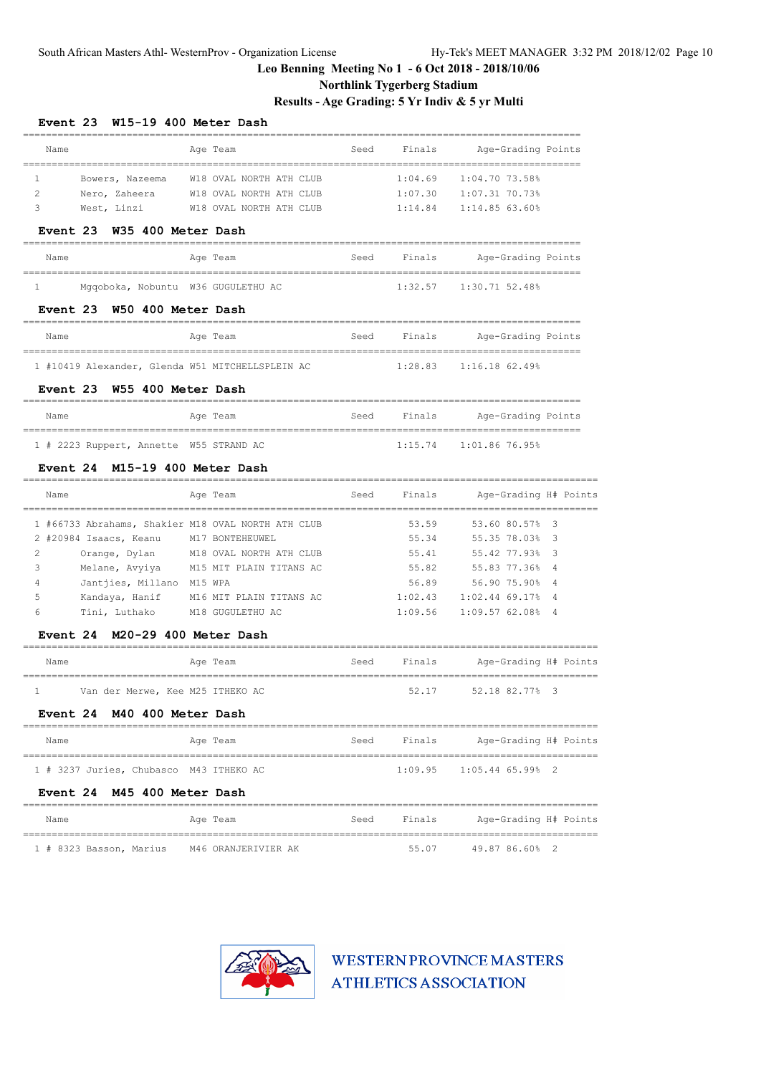# **Northlink Tygerberg Stadium**

**Results - Age Grading: 5 Yr Indiv & 5 yr Multi**

#### **Event 23 W15-19 400 Meter Dash**

| Name            |                                               | Age Team                                           | Seed | Finals  | Age-Grading Points           |                |
|-----------------|-----------------------------------------------|----------------------------------------------------|------|---------|------------------------------|----------------|
| 1               | ==========================<br>Bowers, Nazeema | W18 OVAL NORTH ATH CLUB                            |      | 1:04.69 | $1:04.70$ 73.58%             |                |
| 2               | Nero, Zaheera                                 | W18 OVAL NORTH ATH CLUB                            |      | 1:07.30 | 1:07.31 70.73%               |                |
| 3               | West, Linzi                                   | W18 OVAL NORTH ATH CLUB                            |      | 1:14.84 | 1:14.85 63.60%               |                |
| Event 23        | W35 400 Meter Dash                            | ---------------                                    |      |         |                              |                |
| Name            |                                               | Age Team                                           | Seed | Finals  | Age-Grading Points           |                |
| 1               | Mgqoboka, Nobuntu W36 GUGULETHU AC            |                                                    |      | 1:32.57 | 1:30.71 52.48%               |                |
| <b>Event 23</b> | W50 400 Meter Dash                            |                                                    |      |         | ____________________________ |                |
| Name            |                                               | Age Team                                           | Seed | Finals  | Age-Grading Points           |                |
|                 |                                               | 1 #10419 Alexander, Glenda W51 MITCHELLSPLEIN AC   |      | 1:28.83 | $1:16.18$ 62.49%             |                |
| Event 23        | W55 400 Meter Dash                            |                                                    |      |         |                              |                |
| Name            | ------------------------------------          | Age Team<br>=============================          | Seed | Finals  | Age-Grading Points           |                |
|                 | 1 # 2223 Ruppert, Annette W55 STRAND AC       |                                                    |      | 1:15.74 | 1:01.86 76.95%               |                |
| <b>Event 24</b> | M15-19 400 Meter Dash                         |                                                    |      |         |                              |                |
| Name            |                                               | Age Team                                           | Seed | Finals  | Age-Grading H# Points        |                |
|                 |                                               | 1 #66733 Abrahams, Shakier M18 OVAL NORTH ATH CLUB |      | 53.59   | 53.60 80.57%                 | 3              |
|                 | 2 #20984 Isaacs, Keanu                        | M17 BONTEHEUWEL                                    |      | 55.34   | 55.35 78.03%                 | 3              |
| 2               | Orange, Dylan                                 | M18 OVAL NORTH ATH CLUB                            |      | 55.41   | 55.42 77.93%                 | 3              |
| 3               | Melane, Avyiya                                | M15 MIT PLAIN TITANS AC                            |      | 55.82   | 55.83 77.36%                 | $\overline{4}$ |
| 4               | Jantjies, Millano M15 WPA                     |                                                    |      | 56.89   | 56.90 75.90%                 | 4              |
| 5               | Kandaya, Hanif                                | M16 MIT PLAIN TITANS AC                            |      | 1:02.43 | 1:02.44 69.17%               | 4              |
| 6               | Tini, Luthako                                 | M18 GUGULETHU AC                                   |      | 1:09.56 | 1:09.57 62.08%               | $\overline{4}$ |
| <b>Event 24</b> | M20-29 400 Meter Dash                         |                                                    |      |         |                              |                |
| Name            |                                               | Age Team                                           | Seed | Finals  | Age-Grading H# Points        |                |
| $\mathbf{1}$    | Van der Merwe, Kee M25 ITHEKO AC              |                                                    |      | 52.17   | 52.18 82.77%                 | - 3            |
| <b>Event 24</b> | M40 400 Meter Dash                            |                                                    |      |         |                              |                |
| Name            |                                               | Age Team                                           | Seed | Finals  | Age-Grading H# Points        |                |
|                 |                                               |                                                    |      |         |                              |                |
|                 | 1 # 3237 Juries, Chubasco M43 ITHEKO AC       |                                                    |      | 1:09.95 | $1:05.44$ 65.99% 2           |                |

| Name                    | Ace Team            | Seed | Finals | Age-Grading H# Points |  |
|-------------------------|---------------------|------|--------|-----------------------|--|
| 1 # 8323 Basson, Marius | M46 ORANJERIVIER AK |      | 55.07  | 49.87 86.60% 2        |  |

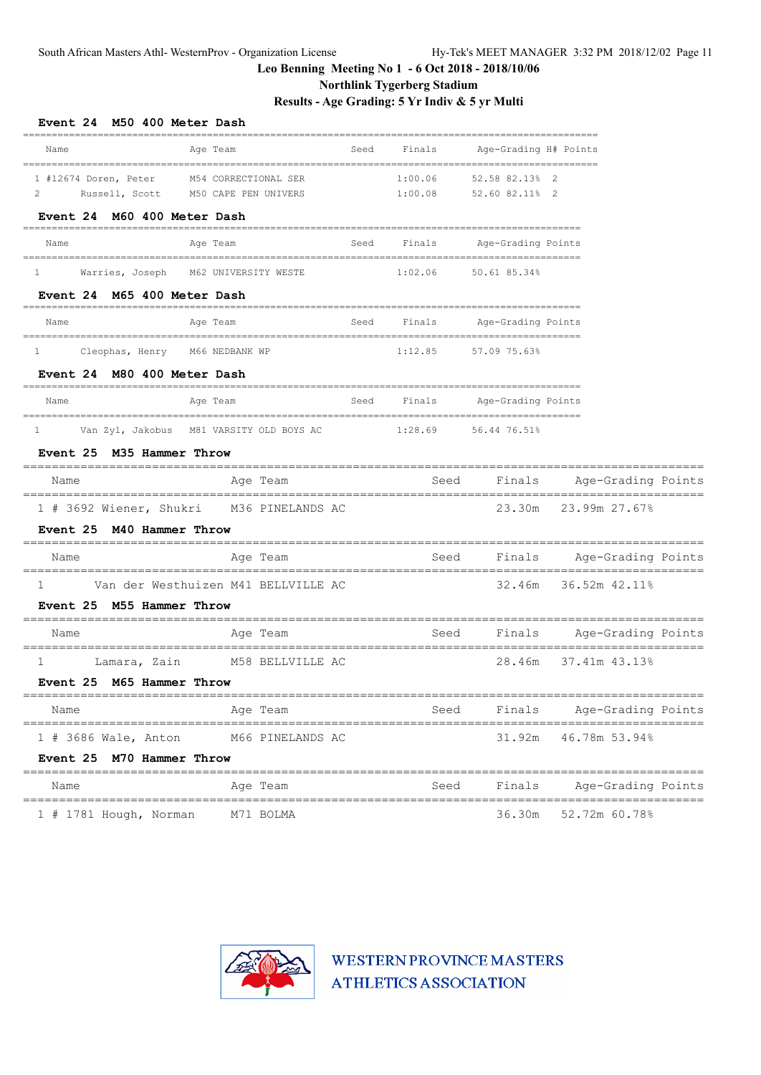# **Northlink Tygerberg Stadium**

**Results - Age Grading: 5 Yr Indiv & 5 yr Multi**

| Event 24 M50 400 Meter Dash                                                |                                              |      |                      |                                  |                                                  |                    |  |
|----------------------------------------------------------------------------|----------------------------------------------|------|----------------------|----------------------------------|--------------------------------------------------|--------------------|--|
| Name                                                                       | Age Team                                     | Seed | Finals               | Age-Grading H# Points            |                                                  |                    |  |
| 1 #12674 Doren, Peter<br>Russell, Scott<br>2                               | M54 CORRECTIONAL SER<br>M50 CAPE PEN UNIVERS |      | 1:00.06<br>1:00.08   | 52.58 82.13% 2<br>52.60 82.11% 2 |                                                  |                    |  |
| Event 24 M60 400 Meter Dash                                                |                                              |      |                      |                                  |                                                  |                    |  |
| Name                                                                       | Age Team                                     |      | Seed Finals          | Age-Grading Points               |                                                  |                    |  |
| Warries, Joseph M62 UNIVERSITY WESTE<br>$1 \quad$                          |                                              |      | 1:02.06 50.61 85.34% |                                  |                                                  |                    |  |
| Event 24 M65 400 Meter Dash                                                |                                              |      |                      |                                  |                                                  |                    |  |
| Name                                                                       | Age Team                                     | Seed | Finals               | Age-Grading Points               |                                                  |                    |  |
| Cleophas, Henry M66 NEDBANK WP<br>1<br>Event 24 M80 400 Meter Dash         |                                              |      | 1:12.85              | 57.09 75.63%                     |                                                  |                    |  |
| Name                                                                       | Age Team                                     | Seed | Finals               | Age-Grading Points               |                                                  |                    |  |
| Van Zyl, Jakobus M81 VARSITY OLD BOYS AC<br>1<br>Event 25 M35 Hammer Throw |                                              |      | 1:28.69              | 56.44 76.51%                     |                                                  |                    |  |
| Name                                                                       | Age Team                                     |      | Seed                 | Finals                           |                                                  | Age-Grading Points |  |
| 1 # 3692 Wiener, Shukri M36 PINELANDS AC                                   |                                              |      |                      |                                  | 23.30m 23.99m 27.67%                             |                    |  |
| Event 25 M40 Hammer Throw                                                  |                                              |      |                      |                                  | ---------------------------                      |                    |  |
| Name                                                                       | Age Team                                     |      | Seed                 | Finals                           | Age-Grading Points                               |                    |  |
| 1<br>Event 25 M55 Hammer Throw                                             | Van der Westhuizen M41 BELLVILLE AC          |      |                      |                                  | 32.46m 36.52m 42.11%                             |                    |  |
| Name                                                                       | Age Team                                     |      | Seed                 | Finals                           | Age-Grading Points                               | ================   |  |
| 1<br>Event 25 M65 Hammer Throw                                             | Lamara, Zain M58 BELLVILLE AC                |      |                      |                                  | ________________________<br>28.46m 37.41m 43.13% |                    |  |
| Name                                                                       | Age Team                                     |      | Seed                 |                                  | Finals Age-Grading Points                        |                    |  |
| ---------------------------------<br>$1$ # 3686 Wale, Anton                | M66 PINELANDS AC                             |      |                      | 31.92m                           |                                                  | 46.78m 53.94%      |  |
| Event 25 M70 Hammer Throw                                                  | =========                                    |      |                      |                                  |                                                  |                    |  |
| Name                                                                       | Age Team                                     |      | Seed                 | Finals                           |                                                  | Age-Grading Points |  |
| $1$ # 1781 Hough, Norman                                                   | M71 BOLMA                                    |      |                      | 36.30m                           |                                                  | 52.72m 60.78%      |  |

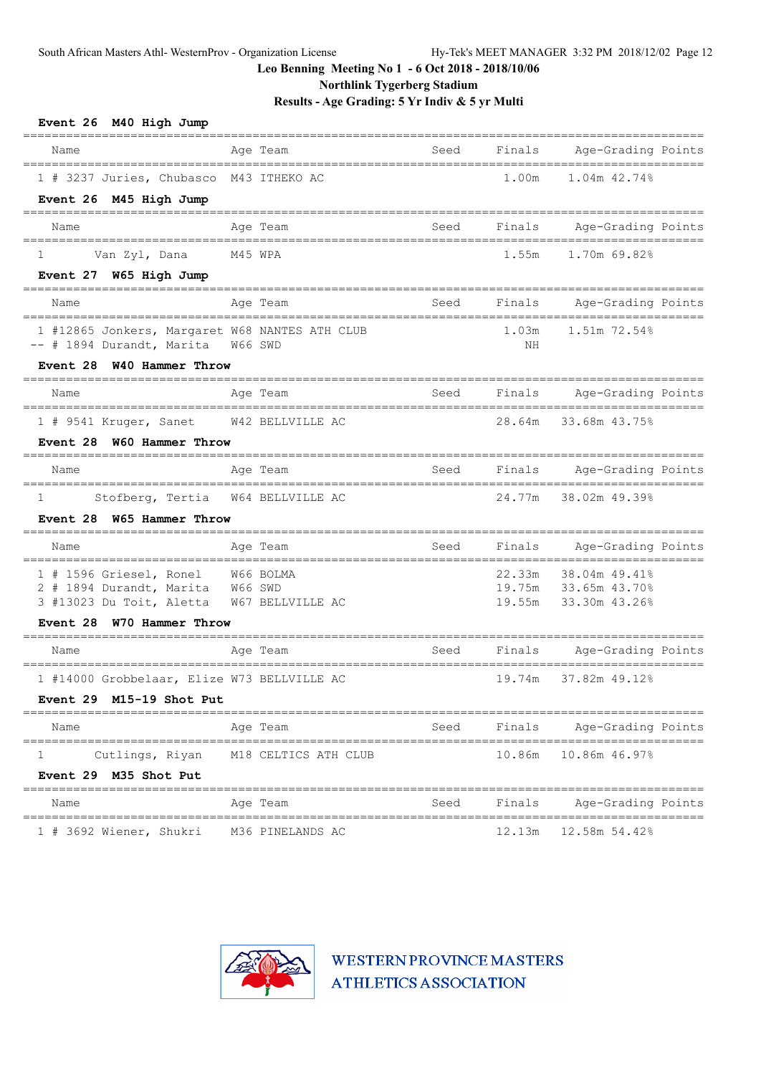**Northlink Tygerberg Stadium**

**Results - Age Grading: 5 Yr Indiv & 5 yr Multi**

| Event 26 M40 High Jump<br><b>EBBEER</b><br>-----------------------                                                                              |                                      |      |             |                                                               |  |
|-------------------------------------------------------------------------------------------------------------------------------------------------|--------------------------------------|------|-------------|---------------------------------------------------------------|--|
| Name                                                                                                                                            | Age Team                             | Seed | Finals      | Age-Grading Points                                            |  |
| 1 # 3237 Juries, Chubasco M43 ITHEKO AC<br>Event 26 M45 High Jump                                                                               |                                      |      | 1.00m       | 1.04m 42.74%                                                  |  |
| Name                                                                                                                                            | Age Team                             | Seed | Finals      | Age-Grading Points                                            |  |
| Van Zyl, Dana<br>1<br>Event 27 W65 High Jump                                                                                                    | M45 WPA                              |      | 1.55m       | 1.70m 69.82%                                                  |  |
| Name                                                                                                                                            | Age Team                             | Seed | Finals      | Age-Grading Points                                            |  |
| 1 #12865 Jonkers, Margaret W68 NANTES ATH CLUB<br>-- # 1894 Durandt, Marita                                                                     | W66 SWD                              |      | 1.03m<br>ΝH | 1.51m 72.54%                                                  |  |
| Event 28 W40 Hammer Throw<br>=============================                                                                                      |                                      |      |             |                                                               |  |
| Name                                                                                                                                            | Age Team                             | Seed | Finals      | Age-Grading Points                                            |  |
| 1 # 9541 Kruger, Sanet W42 BELLVILLE AC<br>Event 28 W60 Hammer Throw                                                                            |                                      |      | 28.64m      | 33.68m 43.75%                                                 |  |
| Name<br>===========                                                                                                                             | Age Team                             | Seed | Finals      | Age-Grading Points                                            |  |
| $\mathbf{1}$<br>Stofberg, Tertia<br>Event 28 W65 Hammer Throw<br>--------------------------                                                     | W64 BELLVILLE AC                     |      | 24.77m      | 38.02m 49.39%                                                 |  |
| Name                                                                                                                                            | Age Team                             | Seed | Finals      | Age-Grading Points                                            |  |
| 1 # 1596 Griesel, Ronel W66 BOLMA<br>2 # 1894 Durandt, Marita W66 SWD<br>3 #13023 Du Toit, Aletta W67 BELLVILLE AC<br>Event 28 W70 Hammer Throw |                                      |      | 22.33m      | 38.04m 49.41%<br>19.75m 33.65m 43.70%<br>19.55m 33.30m 43.26% |  |
| Name                                                                                                                                            | Age Team                             | Seed | Finals      | Age-Grading Points                                            |  |
| 1 #14000 Grobbelaar, Elize W73 BELLVILLE AC<br>Event 29 M15-19 Shot Put                                                                         |                                      |      | 19.74m      | 37.82m 49.12%                                                 |  |
| Name                                                                                                                                            | Age Team                             |      |             | Seed Finals Age-Grading Points                                |  |
| 1<br>Event 29 M35 Shot Put                                                                                                                      | Cutlings, Riyan M18 CELTICS ATH CLUB |      |             | 10.86m 10.86m 46.97%                                          |  |
| Name                                                                                                                                            | Age Team                             |      |             | Seed Finals Age-Grading Points                                |  |
| 1 # 3692 Wiener, Shukri                                                                                                                         | M36 PINELANDS AC                     |      | 12.13m      | 12.58m 54.42%                                                 |  |

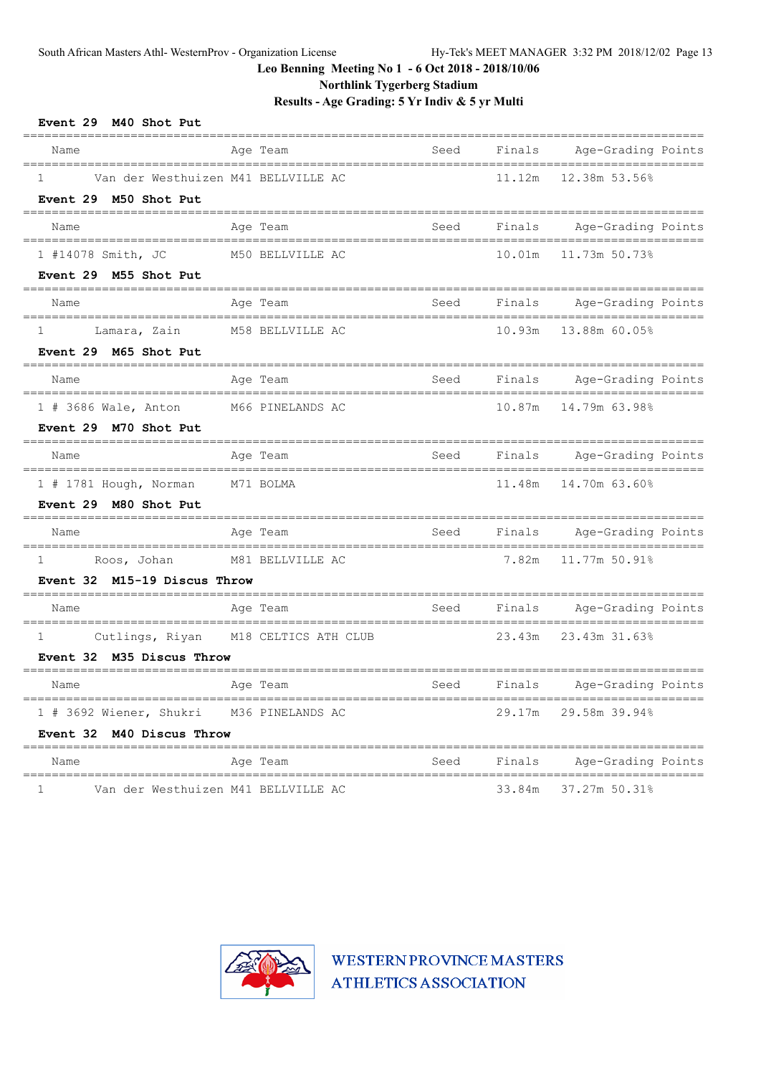**Northlink Tygerberg Stadium**

**Results - Age Grading: 5 Yr Indiv & 5 yr Multi**

| Event 29 M40 Shot Put                                                                                                  |                                            |      |        |                           |
|------------------------------------------------------------------------------------------------------------------------|--------------------------------------------|------|--------|---------------------------|
| Name                                                                                                                   | Age Team                                   | Seed | Finals | Age-Grading Points        |
| 1<br>Event 29 M50 Shot Put                                                                                             | Van der Westhuizen M41 BELLVILLE AC        |      | 11.12m | 12.38m 53.56%             |
| Name                                                                                                                   | Age Team                                   | Seed |        | Finals Age-Grading Points |
| 1 #14078 Smith, JC<br>Event 29 M55 Shot Put                                                                            | M50 BELLVILLE AC                           |      | 10.01m | 11.73m 50.73%             |
| Name                                                                                                                   | Age Team                                   | Seed |        | Finals Age-Grading Points |
| $\mathbf{1}$<br>Lamara, Zain<br>Event 29 M65 Shot Put                                                                  | M58 BELLVILLE AC                           |      | 10.93m | 13.88m 60.05%             |
| Name                                                                                                                   | Age Team                                   | Seed | Finals | Age-Grading Points        |
| $1$ # 3686 Wale, Anton<br>Event 29 M70 Shot Put                                                                        | M66 PINELANDS AC                           |      | 10.87m | 14.79m 63.98%             |
| Name                                                                                                                   | Age Team                                   | Seed | Finals | Age-Grading Points        |
| 1 # 1781 Hough, Norman<br>Event 29 M80 Shot Put                                                                        | M71 BOLMA                                  |      | 11.48m | 14.70m 63.60%             |
| Name                                                                                                                   | =========<br>Age Team                      | Seed | Finals | Age-Grading Points        |
| $1 \qquad \qquad$<br>Roos, Johan<br>Event 32 M15-19 Discus Throw                                                       | M81 BELLVILLE AC                           |      | 7.82m  | 11.77m 50.91%             |
| Name                                                                                                                   | Age Team                                   | Seed | Finals | Age-Grading Points        |
| $\mathbf{1}$<br>Event 32 M35 Discus Throw                                                                              | Cutlings, Riyan M18 CELTICS ATH CLUB       |      | 23.43m | 23.43m 31.63%             |
| Name<br>and the contract of the contract of the contract of the contract of the contract of the contract of the contra | in the state of the Seed Seed Section 2014 |      |        | Finals Age-Grading Points |
| 1 # 3692 Wiener, Shukri M36 PINELANDS AC<br>Event 32 M40 Discus Throw                                                  |                                            |      | 29.17m | 29.58m 39.94%             |
| Name                                                                                                                   | Age Team                                   | Seed | Finals | Age-Grading Points        |
| ı                                                                                                                      | Van der Westhuizen M41 BELLVILLE AC        |      | 33.84m | 37.27m 50.31%             |

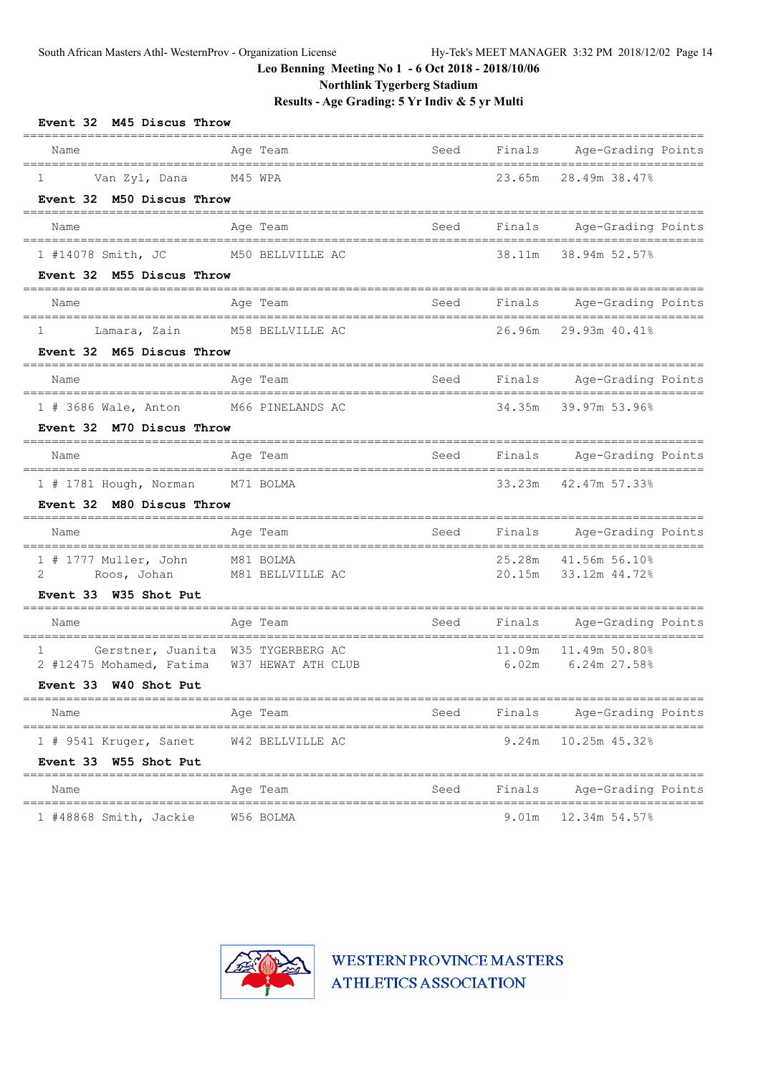**Northlink Tygerberg Stadium**

**Results - Age Grading: 5 Yr Indiv & 5 yr Multi**

| Event 32 M45 Discus Throw<br>=============================                                                                      | ================             |      |                 |                                              |  |
|---------------------------------------------------------------------------------------------------------------------------------|------------------------------|------|-----------------|----------------------------------------------|--|
| Name                                                                                                                            | Age Team                     | Seed |                 | Finals Age-Grading Points                    |  |
| Van Zyl, Dana M45 WPA<br>$1 \qquad \qquad$<br>Event 32 M50 Discus Throw                                                         |                              |      |                 | 23.65m 28.49m 38.47%                         |  |
| Name                                                                                                                            | Age Team                     | Seed |                 | Finals Age-Grading Points                    |  |
| 1 #14078 Smith, JC                                                                                                              | M50 BELLVILLE AC             |      |                 | 38.11m 38.94m 52.57%                         |  |
| Event 32 M55 Discus Throw                                                                                                       |                              |      |                 |                                              |  |
| Name                                                                                                                            | Age Team                     | Seed |                 | Finals Age-Grading Points                    |  |
| Lamara, Zain M58 BELLVILLE AC<br>$1 \quad \cdots$<br>Event 32 M65 Discus Throw                                                  |                              |      |                 | 26.96m 29.93m 40.41%                         |  |
| Name                                                                                                                            | Age Team                     |      |                 | Seed Finals Age-Grading Points               |  |
| 1 # 3686 Wale, Anton M66 PINELANDS AC<br>Event 32 M70 Discus Throw                                                              |                              |      |                 | 34.35m 39.97m 53.96%                         |  |
| Name                                                                                                                            | Age Team                     |      |                 | Seed Finals Age-Grading Points               |  |
| 1 # 1781 Hough, Norman M71 BOLMA<br>Event 32 M80 Discus Throw                                                                   |                              |      | 33.23m          | 42.47m 57.33%                                |  |
| Name                                                                                                                            | Age Team                     | Seed |                 | Finals Age-Grading Points                    |  |
| 1 # 1777 Muller, John M81 BOLMA<br>$2 \left( \frac{1}{2} \right)$<br>Event 33 W35 Shot Put                                      | Roos, Johan M81 BELLVILLE AC |      |                 | 25.28m 41.56m 56.10%<br>20.15m 33.12m 44.72% |  |
| Name                                                                                                                            | Age Team                     | Seed |                 | Finals Age-Grading Points                    |  |
| Gerstner, Juanita W35 TYGERBERG AC<br>$1 \qquad \qquad$<br>2 #12475 Mohamed, Fatima W37 HEWAT ATH CLUB<br>Event 33 W40 Shot Put |                              |      | 11.09m<br>6.02m | 11.49m 50.80%<br>$6.24m$ 27.58%              |  |
| Name                                                                                                                            | Age Team                     | Seed | Finals          | Age-Grading Points                           |  |
| 1 # 9541 Kruger, Sanet<br>Event 33 W55 Shot Put                                                                                 | W42 BELLVILLE AC             |      | 9.24m           | 10.25m 45.32%                                |  |
| Name                                                                                                                            | Age Team                     | Seed | Finals          | Age-Grading Points                           |  |
| 1 #48868 Smith, Jackie                                                                                                          | W56 BOLMA                    |      | 9.01m           | 12.34m 54.57%                                |  |

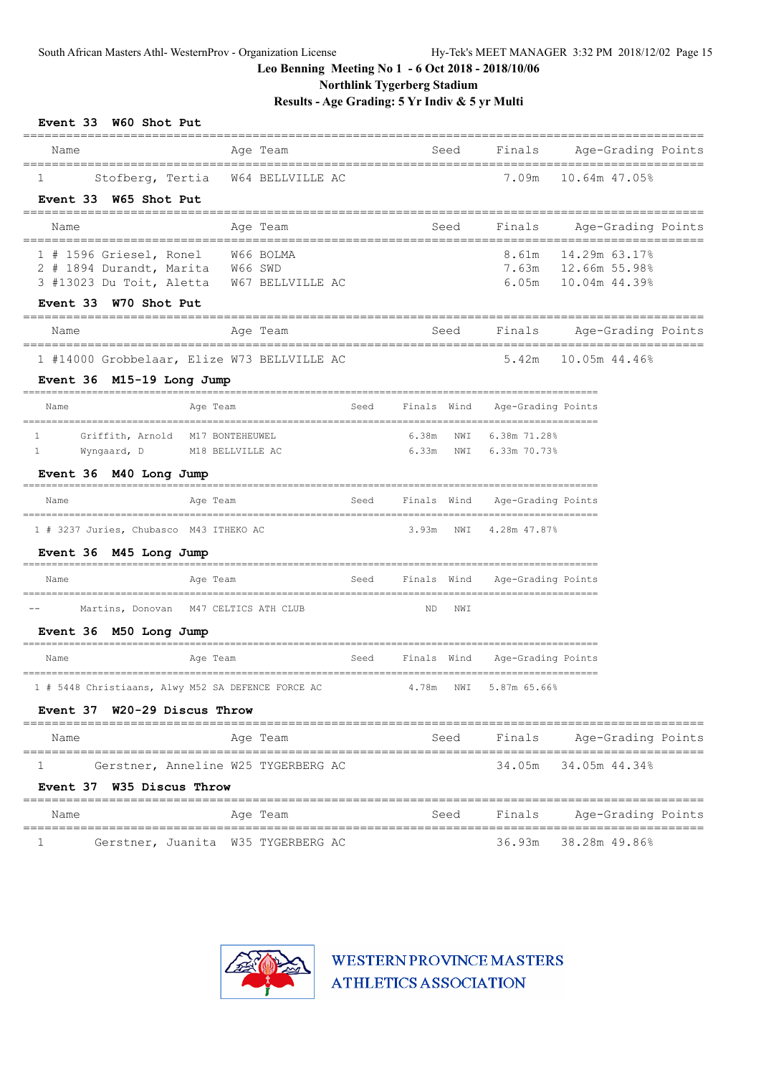**Northlink Tygerberg Stadium**

# **Results - Age Grading: 5 Yr Indiv & 5 yr Multi**

| Event 33 W60 Shot Put                                                                |                                                    |      |                        |                    |                                |  |
|--------------------------------------------------------------------------------------|----------------------------------------------------|------|------------------------|--------------------|--------------------------------|--|
| Name                                                                                 | Age Team                                           |      | Seed                   |                    | Finals Age-Grading Points      |  |
| ==================================<br>Stofberg, Tertia<br>1<br>Event 33 W65 Shot Put | W64 BELLVILLE AC                                   |      |                        | 7.09m              | 10.64m 47.05%                  |  |
| Name                                                                                 | Age Team                                           |      | Seed                   | Finals             | Age-Grading Points             |  |
| 1 # 1596 Griesel, Ronel W66 BOLMA                                                    |                                                    |      |                        | 8.61m              | 14.29m 63.17%                  |  |
| 2 # 1894 Durandt, Marita<br>3 #13023 Du Toit, Aletta                                 | W66 SWD<br>W67 BELLVILLE AC                        |      |                        | 7.63m<br>6.05m     | 12.66m 55.98%<br>10.04m 44.39% |  |
| Event 33 W70 Shot Put                                                                |                                                    |      |                        |                    |                                |  |
| Name                                                                                 | Age Team<br>--------====================           |      | Seed                   |                    | Finals Age-Grading Points      |  |
| Event 36 M15-19 Long Jump                                                            | 1 #14000 Grobbelaar, Elize W73 BELLVILLE AC        |      |                        | 5.42m              | 10.05m 44.46%                  |  |
| Name                                                                                 | Age Team                                           | Seed | Finals Wind            | Age-Grading Points |                                |  |
| Griffith, Arnold<br>1                                                                | M17 BONTEHEUWEL                                    |      | 6.38m NWI              | 6.38m 71.28%       |                                |  |
| $\mathbf{1}$<br>Wyngaard, D                                                          | M18 BELLVILLE AC                                   |      | $6.33m$ NWI            | 6.33m 70.73%       |                                |  |
| Event 36 M40 Long Jump                                                               |                                                    |      |                        |                    |                                |  |
| Name                                                                                 | Age Team<br>====================================   | Seed | Finals Wind            | Age-Grading Points |                                |  |
| 1 # 3237 Juries, Chubasco M43 ITHEKO AC                                              |                                                    |      | 3.93m NWI              | 4.28m 47.87%       |                                |  |
| Event 36 M45 Long Jump                                                               |                                                    |      |                        |                    |                                |  |
| Name                                                                                 | Age Team                                           | Seed | Finals Wind            | Age-Grading Points |                                |  |
|                                                                                      | Martins, Donovan M47 CELTICS ATH CLUB              |      | ND.<br>NWI             |                    |                                |  |
| Event 36 M50 Long Jump                                                               |                                                    |      |                        |                    |                                |  |
| Name                                                                                 | Age Team                                           | Seed | Finals Wind            | Age-Grading Points |                                |  |
|                                                                                      | 1 # 5448 Christiaans, Alwy M52 SA DEFENCE FORCE AC |      | 4.78m NWI 5.87m 65.66% |                    |                                |  |
| Event 37 W20-29 Discus Throw                                                         |                                                    |      |                        |                    |                                |  |
| Name                                                                                 | Age Team                                           |      | Seed                   | Finals             | Age-Grading Points             |  |
| 1<br>Event 37 W35 Discus Throw                                                       | Gerstner, Anneline W25 TYGERBERG AC                |      |                        | 34.05m             | 34.05m 44.34%                  |  |
| Name                                                                                 | Age Team                                           |      | Seed                   | Finals             | Age-Grading Points             |  |
| ı                                                                                    | Gerstner, Juanita W35 TYGERBERG AC                 |      |                        | 36.93m             | 38.28m 49.86%                  |  |

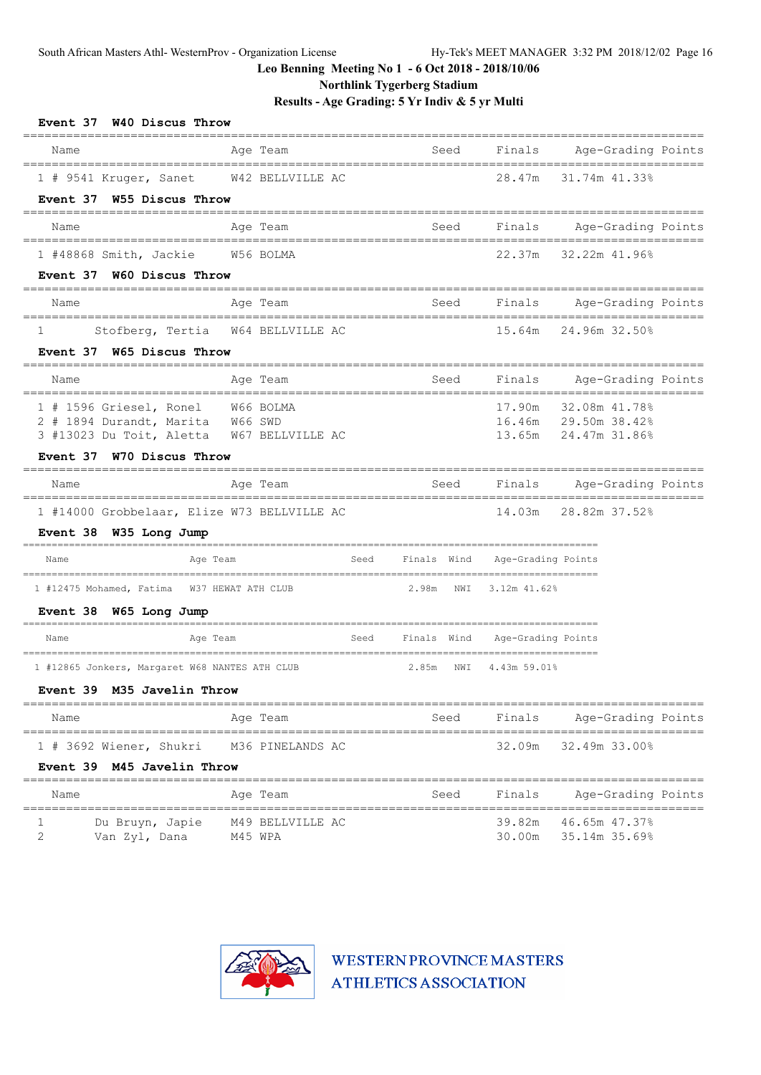**Northlink Tygerberg Stadium**

**Results - Age Grading: 5 Yr Indiv & 5 yr Multi**

| Event 37 W40 Discus Throw<br>=====                                            |           |                       |      |             |      |                                              |                             |  |
|-------------------------------------------------------------------------------|-----------|-----------------------|------|-------------|------|----------------------------------------------|-----------------------------|--|
| Name                                                                          |           | Age Team              |      |             | Seed | Finals                                       | Age-Grading Points          |  |
| 1 # 9541 Kruger, Sanet W42 BELLVILLE AC                                       |           |                       |      |             |      | 28.47m                                       | ==========<br>31.74m 41.33% |  |
| Event 37 W55 Discus Throw                                                     |           |                       |      |             |      |                                              |                             |  |
| Name                                                                          |           | Age Team              |      |             | Seed | Finals                                       | Age-Grading Points          |  |
| 1 #48868 Smith, Jackie                                                        | W56 BOLMA |                       |      |             |      | 22.37m                                       | 32.22m 41.96%               |  |
| Event 37 W60 Discus Throw                                                     |           |                       |      |             |      |                                              |                             |  |
| Name<br>---------------------------------                                     |           | Age Team              |      |             | Seed | Finals Age-Grading Points                    | ==========                  |  |
| Stofberg, Tertia<br>1                                                         |           | W64 BELLVILLE AC      |      |             |      | 15.64m                                       | 24.96m 32.50%               |  |
| Event 37 W65 Discus Throw                                                     |           |                       |      |             |      |                                              |                             |  |
| Name                                                                          |           | Age Team              |      |             | Seed | Finals                                       | Age-Grading Points          |  |
| 1 # 1596 Griesel, Ronel W66 BOLMA                                             |           |                       |      |             |      | 17.90m                                       | 32.08m 41.78%               |  |
| 2 # 1894 Durandt, Marita W66 SWD<br>3 #13023 Du Toit, Aletta W67 BELLVILLE AC |           |                       |      |             |      | 16.46m 29.50m 38.42%<br>13.65m 24.47m 31.86% |                             |  |
| Event 37 W70 Discus Throw                                                     |           |                       |      |             |      |                                              |                             |  |
| Name                                                                          |           | =========<br>Age Team |      |             | Seed | Finals                                       | Age-Grading Points          |  |
| 1 #14000 Grobbelaar, Elize W73 BELLVILLE AC                                   |           |                       |      |             |      | 14.03m                                       | 28.82m 37.52%               |  |
| Event 38 W35 Long Jump                                                        |           |                       |      |             |      |                                              |                             |  |
| Name                                                                          | Age Team  |                       | Seed | Finals Wind |      | Age-Grading Points                           |                             |  |
| 1 #12475 Mohamed, Fatima W37 HEWAT ATH CLUB                                   |           |                       |      | 2.98m NWI   |      | 3.12m 41.62%                                 |                             |  |
| Event 38 W65 Long Jump                                                        |           |                       |      |             |      |                                              |                             |  |
| Name                                                                          | Age Team  |                       | Seed | Finals Wind |      | Age-Grading Points                           |                             |  |
| 1 #12865 Jonkers, Margaret W68 NANTES ATH CLUB                                |           |                       |      | 2.85m NWI   |      | 4.43m 59.01%                                 |                             |  |
| Event 39 M35 Javelin Throw                                                    |           |                       |      |             |      |                                              |                             |  |
| Name                                                                          |           | Age Team              |      |             | Seed | Finals                                       | Age-Grading Points          |  |
| 1 # 3692 Wiener, Shukri                                                       |           | M36 PINELANDS AC      |      |             |      | 32.09m                                       | 32.49m 33.00%               |  |
| Event 39 M45 Javelin Throw                                                    |           |                       |      |             |      |                                              |                             |  |
| Name                                                                          |           | Age Team              |      |             | Seed | Finals                                       | Age-Grading Points          |  |
|                                                                               |           |                       |      |             |      |                                              |                             |  |

1 Du Bruyn, Japie 149 BELLVILLE AC 1999 89.82m 46.65m 47.37% 2 Van Zyl, Dana M45 WPA 30.00m 35.14m 35.69%

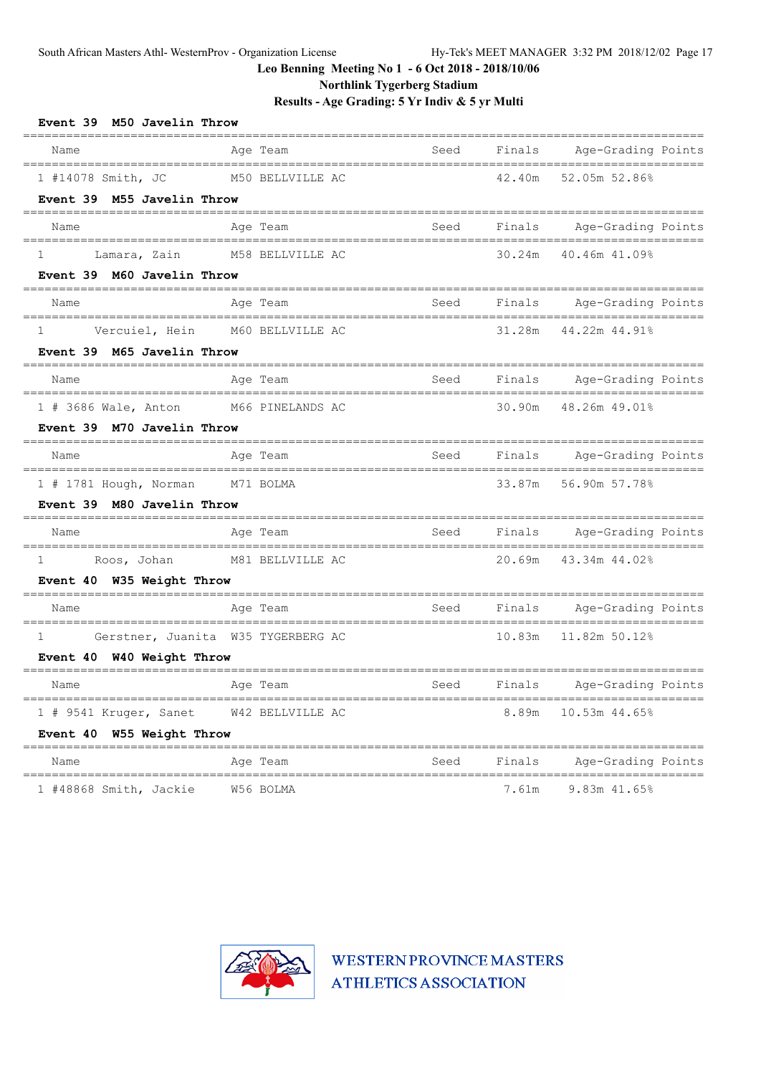**Northlink Tygerberg Stadium**

**Results - Age Grading: 5 Yr Indiv & 5 yr Multi**

| Event 39 M50 Javelin Throw                    |                                                |      |        |                                                                |
|-----------------------------------------------|------------------------------------------------|------|--------|----------------------------------------------------------------|
| Name<br>===================================== | Age Team                                       | Seed | Finals | Age-Grading Points                                             |
| 1 #14078 Smith, JC                            | M50 BELLVILLE AC                               |      | 42.40m | 52.05m 52.86%                                                  |
| Event 39 M55 Javelin Throw                    |                                                |      |        |                                                                |
| Name                                          | Age Team                                       | Seed | Finals | Age-Grading Points                                             |
| Lamara, Zain<br>1                             | M58 BELLVILLE AC                               |      | 30.24m | 40.46m 41.09%                                                  |
| Event 39 M60 Javelin Throw                    |                                                |      |        |                                                                |
| Name                                          | Age Team<br>================================== | Seed | Finals | Age-Grading Points<br>=======================                  |
| $\mathbf{1}$                                  | Vercuiel, Hein M60 BELLVILLE AC                |      | 31.28m | 44.22m 44.91%                                                  |
| Event 39 M65 Javelin Throw                    |                                                |      |        |                                                                |
| Name                                          | Age Team                                       | Seed | Finals | Age-Grading Points<br>===========================              |
| 1 # 3686 Wale, Anton M66 PINELANDS AC         |                                                |      |        | 30.90m 48.26m 49.01%                                           |
| Event 39 M70 Javelin Throw                    |                                                |      |        |                                                                |
| Name                                          | Age Team                                       | Seed | Finals | Age-Grading Points<br>_____________________________            |
| 1 # 1781 Hough, Norman M71 BOLMA              |                                                |      |        | 33.87m 56.90m 57.78%                                           |
| Event 39 M80 Javelin Throw                    |                                                |      |        |                                                                |
| Name                                          | Age Team                                       | Seed |        | Finals Age-Grading Points                                      |
| Roos, Johan<br>$\mathbf{1}$                   | M81 BELLVILLE AC                               |      | 20.69m | 43.34m 44.02%                                                  |
| Event 40 W35 Weight Throw                     |                                                |      |        |                                                                |
| Name                                          | Age Team                                       | Seed |        | Finals Age-Grading Points<br>_________________________________ |
| 1                                             | Gerstner, Juanita W35 TYGERBERG AC             |      |        | 10.83m  11.82m  50.12%                                         |
| Event 40 W40 Weight Throw                     |                                                |      |        |                                                                |
| Name                                          | Age Team                                       | Seed | Finals | Age-Grading Points                                             |
| 1 # 9541 Kruger, Sanet                        | W42 BELLVILLE AC                               |      | 8.89m  | 10.53m 44.65%                                                  |
| Event 40 W55 Weight Throw                     |                                                |      |        |                                                                |
| Name                                          | Age Team                                       | Seed | Finals | Age-Grading Points                                             |
| 1 #48868 Smith, Jackie                        | W56 BOLMA                                      |      | 7.61m  | 9.83m 41.65%                                                   |

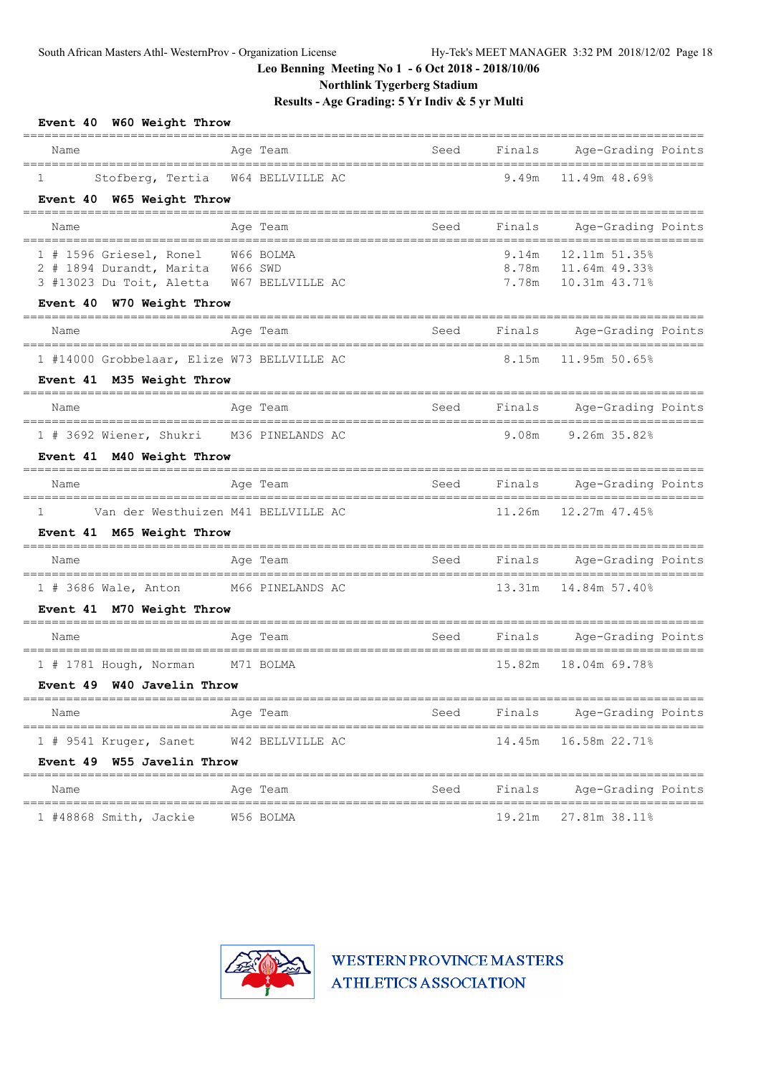**Northlink Tygerberg Stadium**

**Results - Age Grading: 5 Yr Indiv & 5 yr Multi**

| Event 40 W60 Weight Throw                                     |                                     |                                |                |                                |
|---------------------------------------------------------------|-------------------------------------|--------------------------------|----------------|--------------------------------|
| Name                                                          | Age Team                            | Seed                           | Finals         | Age-Grading Points             |
| Stofberg, Tertia<br>$\mathbf{1}$<br>Event 40 W65 Weight Throw | W64 BELLVILLE AC                    |                                | 9.49m          | 11.49m 48.69%                  |
| Name                                                          | Age Team                            | Seed                           | Finals         | Age-Grading Points             |
|                                                               |                                     |                                |                |                                |
| 1 # 1596 Griesel, Ronel<br>2 # 1894 Durandt, Marita           | W66 BOLMA<br>W66 SWD                |                                | 9.14m<br>8.78m | 12.11m 51.35%<br>11.64m 49.33% |
| 3 #13023 Du Toit, Aletta                                      | W67 BELLVILLE AC                    |                                | 7.78m          | 10.31m 43.71%                  |
| Event 40 W70 Weight Throw                                     |                                     |                                |                |                                |
| Name                                                          | Age Team                            | Seed                           | Finals         | Age-Grading Points             |
| 1 #14000 Grobbelaar, Elize W73 BELLVILLE AC                   |                                     |                                | 8.15m          | 11.95m 50.65%                  |
| Event 41 M35 Weight Throw                                     |                                     |                                |                |                                |
| Name                                                          | Age Team                            | Seed                           | Finals         | Age-Grading Points             |
| 1 # 3692 Wiener, Shukri M36 PINELANDS AC                      |                                     |                                | 9.08m          | $9.26m$ 35.82%                 |
| Event 41 M40 Weight Throw                                     |                                     |                                |                |                                |
| Name                                                          | Age Team                            | Seed                           | Finals         | Age-Grading Points             |
| $\mathbf{1}$                                                  | Van der Westhuizen M41 BELLVILLE AC |                                | 11.26m         | 12.27m 47.45%                  |
| Event 41 M65 Weight Throw                                     |                                     |                                |                |                                |
| Name                                                          | Age Team                            | Seed                           | Finals         | Age-Grading Points             |
| 1 # 3686 Wale, Anton M66 PINELANDS AC                         |                                     |                                | 13.31m         | 14.84m 57.40%                  |
| Event 41 M70 Weight Throw                                     |                                     |                                |                |                                |
| Name                                                          | Age Team                            | Seed                           | Finals         | Age-Grading Points             |
| 1 # 1781 Hough, Norman M71 BOLMA                              |                                     |                                | 15.82m         | 18.04m 69.78%                  |
| Event 49 W40 Javelin Throw                                    | ==========================          | ______________________________ |                |                                |
| Name                                                          | Age Team                            | Seed                           | Finals         | Age-Grading Points             |
| 1 # 9541 Kruger, Sanet                                        | W42 BELLVILLE AC                    |                                | 14.45m         | 16.58m 22.71%                  |
| Event 49 W55 Javelin Throw<br>============================    |                                     | ----------------               |                |                                |
| Name                                                          | Age Team                            | Seed                           | Finals         | Age-Grading Points             |
| 1 #48868 Smith, Jackie                                        | W56 BOLMA                           |                                | 19.21m         | 27.81m 38.11%                  |